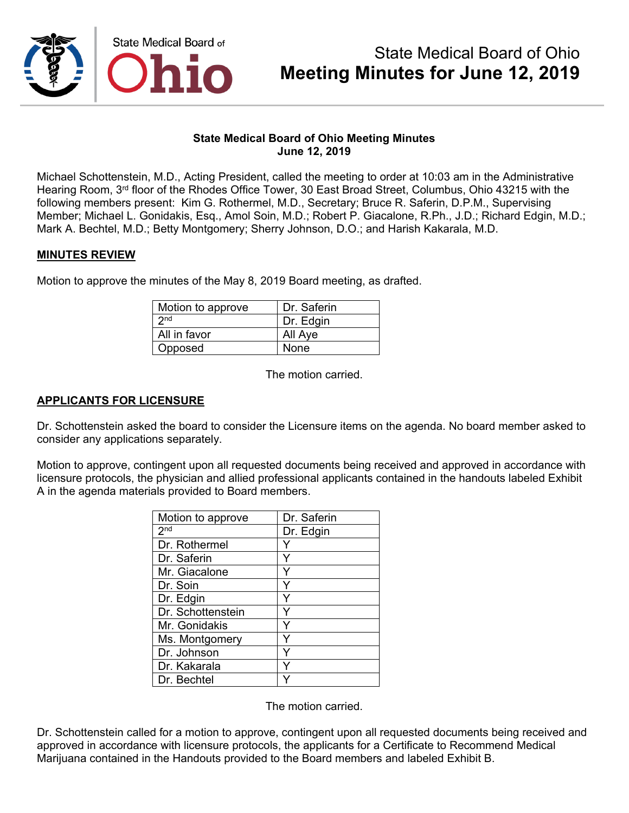

### **State Medical Board of Ohio Meeting Minutes June 12, 2019**

Michael Schottenstein, M.D., Acting President, called the meeting to order at 10:03 am in the Administrative Hearing Room, 3rd floor of the Rhodes Office Tower, 30 East Broad Street, Columbus, Ohio 43215 with the following members present: Kim G. Rothermel, M.D., Secretary; Bruce R. Saferin, D.P.M., Supervising Member; Michael L. Gonidakis, Esq., Amol Soin, M.D.; Robert P. Giacalone, R.Ph., J.D.; Richard Edgin, M.D.; Mark A. Bechtel, M.D.; Betty Montgomery; Sherry Johnson, D.O.; and Harish Kakarala, M.D.

### **MINUTES REVIEW**

Motion to approve the minutes of the May 8, 2019 Board meeting, as drafted.

| Motion to approve | Dr. Saferin |
|-------------------|-------------|
| 2nd               | Dr. Edgin   |
| All in favor      | All Aye     |
| Opposed           | None        |

The motion carried.

### **APPLICANTS FOR LICENSURE**

Dr. Schottenstein asked the board to consider the Licensure items on the agenda. No board member asked to consider any applications separately.

Motion to approve, contingent upon all requested documents being received and approved in accordance with licensure protocols, the physician and allied professional applicants contained in the handouts labeled Exhibit A in the agenda materials provided to Board members.

| Motion to approve | Dr. Saferin |
|-------------------|-------------|
| 2 <sup>nd</sup>   | Dr. Edgin   |
| Dr. Rothermel     |             |
| Dr. Saferin       |             |
| Mr. Giacalone     |             |
| Dr. Soin          | Y           |
| Dr. Edgin         | Y           |
| Dr. Schottenstein | Y           |
| Mr. Gonidakis     |             |
| Ms. Montgomery    | Υ           |
| Dr. Johnson       | Y           |
| Dr. Kakarala      |             |
| Dr. Bechtel       |             |

The motion carried.

Dr. Schottenstein called for a motion to approve, contingent upon all requested documents being received and approved in accordance with licensure protocols, the applicants for a Certificate to Recommend Medical Marijuana contained in the Handouts provided to the Board members and labeled Exhibit B.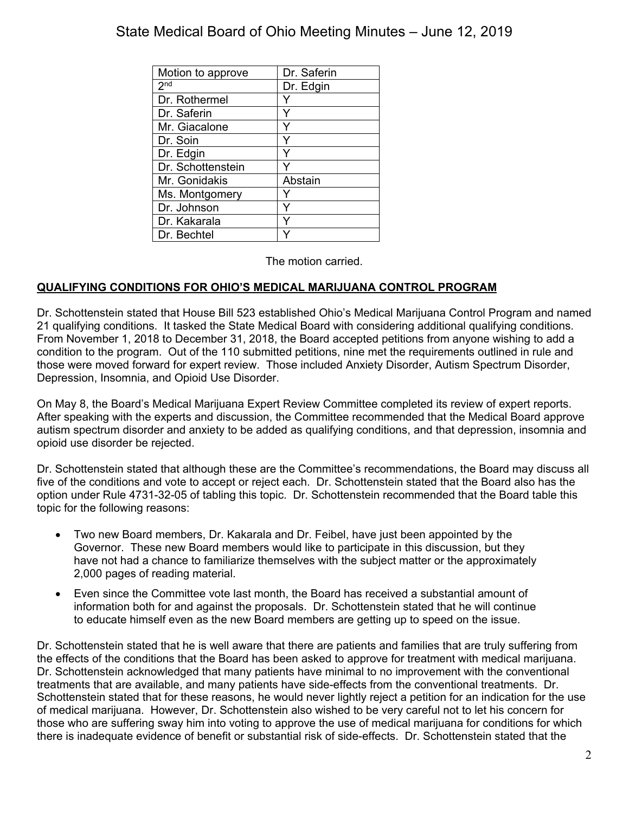| Motion to approve | Dr. Saferin |
|-------------------|-------------|
| 2 <sub>nd</sub>   | Dr. Edgin   |
| Dr. Rothermel     | Y           |
| Dr. Saferin       | Υ           |
| Mr. Giacalone     | Υ           |
| Dr. Soin          |             |
| Dr. Edgin         |             |
| Dr. Schottenstein |             |
| Mr. Gonidakis     | Abstain     |
| Ms. Montgomery    |             |
| Dr. Johnson       |             |
| Dr. Kakarala      |             |
| Dr. Bechtel       |             |

The motion carried.

## **QUALIFYING CONDITIONS FOR OHIO'S MEDICAL MARIJUANA CONTROL PROGRAM**

Dr. Schottenstein stated that House Bill 523 established Ohio's Medical Marijuana Control Program and named 21 qualifying conditions. It tasked the State Medical Board with considering additional qualifying conditions. From November 1, 2018 to December 31, 2018, the Board accepted petitions from anyone wishing to add a condition to the program. Out of the 110 submitted petitions, nine met the requirements outlined in rule and those were moved forward for expert review. Those included Anxiety Disorder, Autism Spectrum Disorder, Depression, Insomnia, and Opioid Use Disorder.

On May 8, the Board's Medical Marijuana Expert Review Committee completed its review of expert reports. After speaking with the experts and discussion, the Committee recommended that the Medical Board approve autism spectrum disorder and anxiety to be added as qualifying conditions, and that depression, insomnia and opioid use disorder be rejected.

Dr. Schottenstein stated that although these are the Committee's recommendations, the Board may discuss all five of the conditions and vote to accept or reject each. Dr. Schottenstein stated that the Board also has the option under Rule 4731-32-05 of tabling this topic. Dr. Schottenstein recommended that the Board table this topic for the following reasons:

- Two new Board members, Dr. Kakarala and Dr. Feibel, have just been appointed by the Governor. These new Board members would like to participate in this discussion, but they have not had a chance to familiarize themselves with the subject matter or the approximately 2,000 pages of reading material.
- Even since the Committee vote last month, the Board has received a substantial amount of information both for and against the proposals. Dr. Schottenstein stated that he will continue to educate himself even as the new Board members are getting up to speed on the issue.

Dr. Schottenstein stated that he is well aware that there are patients and families that are truly suffering from the effects of the conditions that the Board has been asked to approve for treatment with medical marijuana. Dr. Schottenstein acknowledged that many patients have minimal to no improvement with the conventional treatments that are available, and many patients have side-effects from the conventional treatments. Dr. Schottenstein stated that for these reasons, he would never lightly reject a petition for an indication for the use of medical marijuana. However, Dr. Schottenstein also wished to be very careful not to let his concern for those who are suffering sway him into voting to approve the use of medical marijuana for conditions for which there is inadequate evidence of benefit or substantial risk of side-effects. Dr. Schottenstein stated that the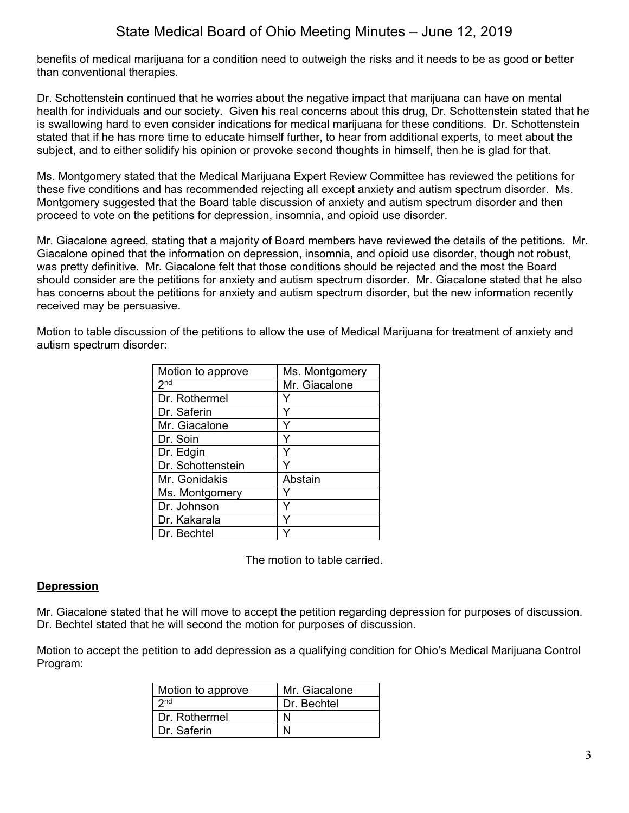benefits of medical marijuana for a condition need to outweigh the risks and it needs to be as good or better than conventional therapies.

Dr. Schottenstein continued that he worries about the negative impact that marijuana can have on mental health for individuals and our society. Given his real concerns about this drug, Dr. Schottenstein stated that he is swallowing hard to even consider indications for medical marijuana for these conditions. Dr. Schottenstein stated that if he has more time to educate himself further, to hear from additional experts, to meet about the subject, and to either solidify his opinion or provoke second thoughts in himself, then he is glad for that.

Ms. Montgomery stated that the Medical Marijuana Expert Review Committee has reviewed the petitions for these five conditions and has recommended rejecting all except anxiety and autism spectrum disorder. Ms. Montgomery suggested that the Board table discussion of anxiety and autism spectrum disorder and then proceed to vote on the petitions for depression, insomnia, and opioid use disorder.

Mr. Giacalone agreed, stating that a majority of Board members have reviewed the details of the petitions. Mr. Giacalone opined that the information on depression, insomnia, and opioid use disorder, though not robust, was pretty definitive. Mr. Giacalone felt that those conditions should be rejected and the most the Board should consider are the petitions for anxiety and autism spectrum disorder. Mr. Giacalone stated that he also has concerns about the petitions for anxiety and autism spectrum disorder, but the new information recently received may be persuasive.

Motion to table discussion of the petitions to allow the use of Medical Marijuana for treatment of anxiety and autism spectrum disorder:

| Motion to approve | Ms. Montgomery |
|-------------------|----------------|
| 2 <sub>nd</sub>   | Mr. Giacalone  |
| Dr. Rothermel     |                |
| Dr. Saferin       |                |
| Mr. Giacalone     | ٧              |
| Dr. Soin          | Y              |
| Dr. Edgin         |                |
| Dr. Schottenstein |                |
| Mr. Gonidakis     | Abstain        |
| Ms. Montgomery    |                |
| Dr. Johnson       |                |
| Dr. Kakarala      |                |
| Dr. Bechtel       |                |

The motion to table carried.

### **Depression**

Mr. Giacalone stated that he will move to accept the petition regarding depression for purposes of discussion. Dr. Bechtel stated that he will second the motion for purposes of discussion.

Motion to accept the petition to add depression as a qualifying condition for Ohio's Medical Marijuana Control Program:

| Motion to approve | Mr. Giacalone |
|-------------------|---------------|
| 2nd               | Dr. Bechtel   |
| Dr. Rothermel     |               |
| Dr. Saferin       |               |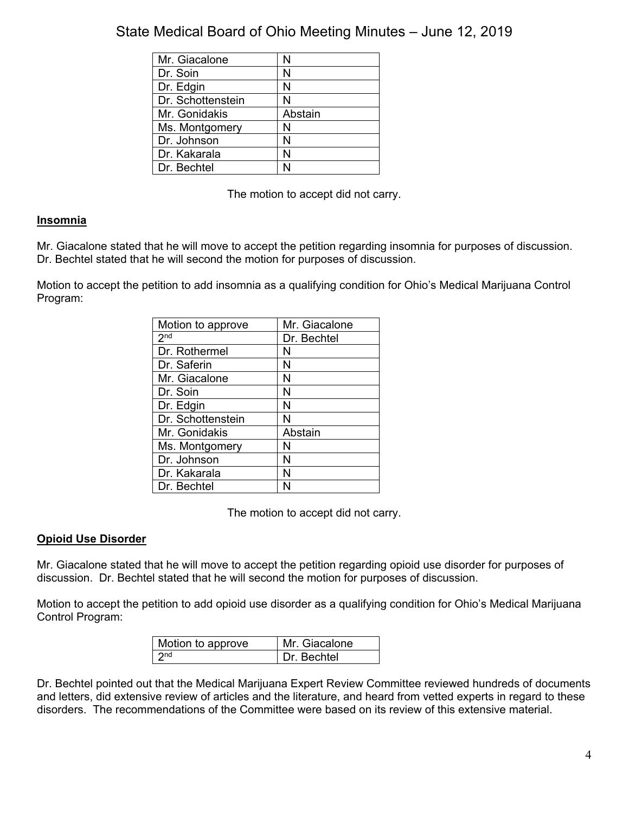| Mr. Giacalone     | N       |
|-------------------|---------|
| Dr. Soin          | N       |
| Dr. Edgin         | N       |
| Dr. Schottenstein | N       |
| Mr. Gonidakis     | Abstain |
| Ms. Montgomery    | N       |
| Dr. Johnson       | N       |
| Dr. Kakarala      | N       |
| Dr. Bechtel       |         |

The motion to accept did not carry.

## **Insomnia**

Mr. Giacalone stated that he will move to accept the petition regarding insomnia for purposes of discussion. Dr. Bechtel stated that he will second the motion for purposes of discussion.

Motion to accept the petition to add insomnia as a qualifying condition for Ohio's Medical Marijuana Control Program:

| Motion to approve | Mr. Giacalone |
|-------------------|---------------|
| 2 <sub>nd</sub>   | Dr. Bechtel   |
| Dr. Rothermel     | N             |
| Dr. Saferin       | Ν             |
| Mr. Giacalone     | N             |
| Dr. Soin          | N             |
| Dr. Edgin         | N             |
| Dr. Schottenstein | N             |
| Mr. Gonidakis     | Abstain       |
| Ms. Montgomery    | N             |
| Dr. Johnson       | Ν             |
| Dr. Kakarala      | N             |
| Dr. Bechtel       | N             |

The motion to accept did not carry.

### **Opioid Use Disorder**

Mr. Giacalone stated that he will move to accept the petition regarding opioid use disorder for purposes of discussion. Dr. Bechtel stated that he will second the motion for purposes of discussion.

Motion to accept the petition to add opioid use disorder as a qualifying condition for Ohio's Medical Marijuana Control Program:

| Motion to approve | Mr. Giacalone     |
|-------------------|-------------------|
| 2 <sub>nd</sub>   | <b>Dr</b> Bechtel |

Dr. Bechtel pointed out that the Medical Marijuana Expert Review Committee reviewed hundreds of documents and letters, did extensive review of articles and the literature, and heard from vetted experts in regard to these disorders. The recommendations of the Committee were based on its review of this extensive material.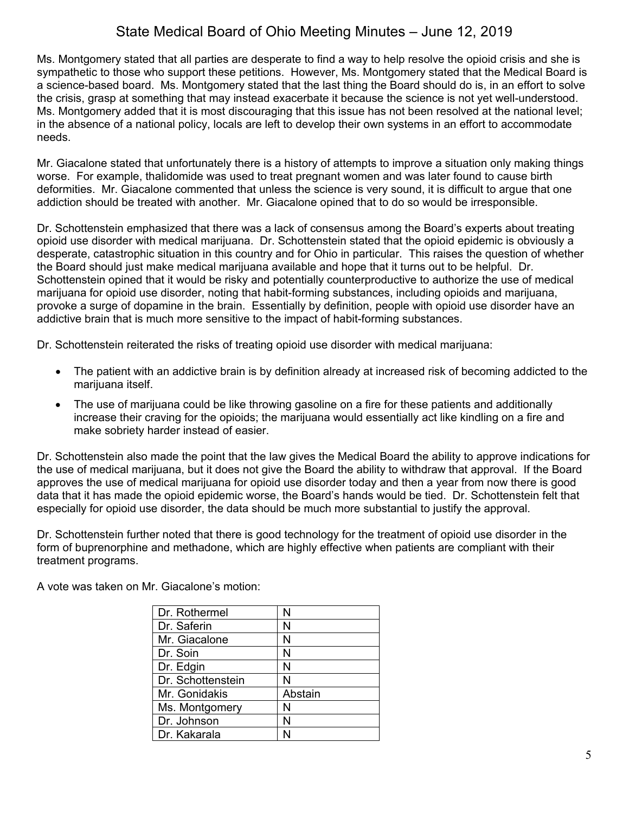Ms. Montgomery stated that all parties are desperate to find a way to help resolve the opioid crisis and she is sympathetic to those who support these petitions. However, Ms. Montgomery stated that the Medical Board is a science-based board. Ms. Montgomery stated that the last thing the Board should do is, in an effort to solve the crisis, grasp at something that may instead exacerbate it because the science is not yet well-understood. Ms. Montgomery added that it is most discouraging that this issue has not been resolved at the national level; in the absence of a national policy, locals are left to develop their own systems in an effort to accommodate needs.

Mr. Giacalone stated that unfortunately there is a history of attempts to improve a situation only making things worse. For example, thalidomide was used to treat pregnant women and was later found to cause birth deformities. Mr. Giacalone commented that unless the science is very sound, it is difficult to argue that one addiction should be treated with another. Mr. Giacalone opined that to do so would be irresponsible.

Dr. Schottenstein emphasized that there was a lack of consensus among the Board's experts about treating opioid use disorder with medical marijuana. Dr. Schottenstein stated that the opioid epidemic is obviously a desperate, catastrophic situation in this country and for Ohio in particular. This raises the question of whether the Board should just make medical marijuana available and hope that it turns out to be helpful. Dr. Schottenstein opined that it would be risky and potentially counterproductive to authorize the use of medical marijuana for opioid use disorder, noting that habit-forming substances, including opioids and marijuana, provoke a surge of dopamine in the brain. Essentially by definition, people with opioid use disorder have an addictive brain that is much more sensitive to the impact of habit-forming substances.

Dr. Schottenstein reiterated the risks of treating opioid use disorder with medical marijuana:

- The patient with an addictive brain is by definition already at increased risk of becoming addicted to the marijuana itself.
- The use of marijuana could be like throwing gasoline on a fire for these patients and additionally increase their craving for the opioids; the marijuana would essentially act like kindling on a fire and make sobriety harder instead of easier.

Dr. Schottenstein also made the point that the law gives the Medical Board the ability to approve indications for the use of medical marijuana, but it does not give the Board the ability to withdraw that approval. If the Board approves the use of medical marijuana for opioid use disorder today and then a year from now there is good data that it has made the opioid epidemic worse, the Board's hands would be tied. Dr. Schottenstein felt that especially for opioid use disorder, the data should be much more substantial to justify the approval.

Dr. Schottenstein further noted that there is good technology for the treatment of opioid use disorder in the form of buprenorphine and methadone, which are highly effective when patients are compliant with their treatment programs.

| Dr. Rothermel     |         |
|-------------------|---------|
| Dr. Saferin       | N       |
| Mr. Giacalone     | N       |
| Dr. Soin          | N       |
| Dr. Edgin         | N       |
| Dr. Schottenstein | N       |
| Mr. Gonidakis     | Abstain |

Ms. Montgomery | N Dr. Johnson  $|N|$ Dr. Kakarala | N

A vote was taken on Mr. Giacalone's motion: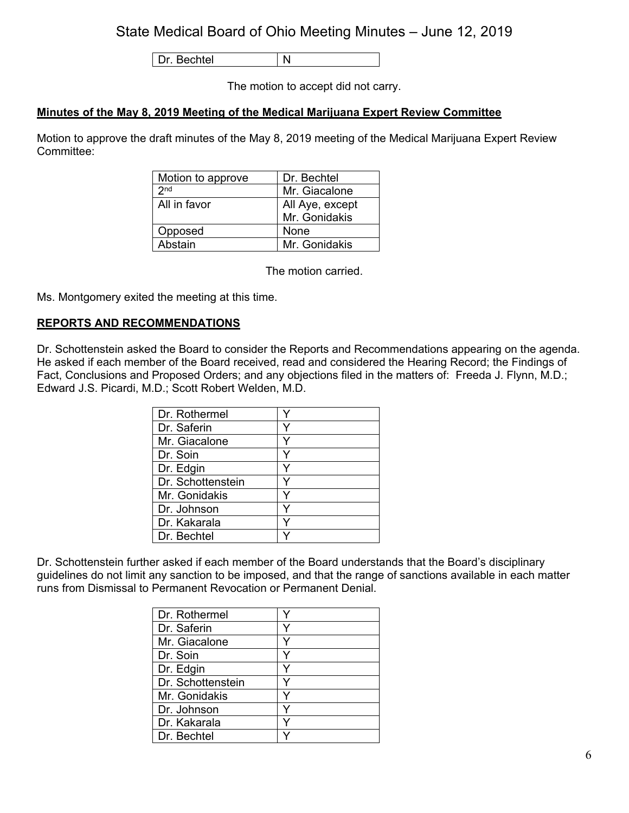Dr. Bechtel | N

The motion to accept did not carry.

## **Minutes of the May 8, 2019 Meeting of the Medical Marijuana Expert Review Committee**

Motion to approve the draft minutes of the May 8, 2019 meeting of the Medical Marijuana Expert Review Committee:

| Motion to approve | Dr. Bechtel     |
|-------------------|-----------------|
| 2 <sub>nd</sub>   | Mr. Giacalone   |
| All in favor      | All Aye, except |
|                   | Mr. Gonidakis   |
| Opposed           | None            |
| Abstain           | Mr. Gonidakis   |

The motion carried.

Ms. Montgomery exited the meeting at this time.

### **REPORTS AND RECOMMENDATIONS**

Dr. Schottenstein asked the Board to consider the Reports and Recommendations appearing on the agenda. He asked if each member of the Board received, read and considered the Hearing Record; the Findings of Fact, Conclusions and Proposed Orders; and any objections filed in the matters of: Freeda J. Flynn, M.D.; Edward J.S. Picardi, M.D.; Scott Robert Welden, M.D.

| Dr. Rothermel     |  |
|-------------------|--|
| Dr. Saferin       |  |
| Mr. Giacalone     |  |
| Dr. Soin          |  |
| Dr. Edgin         |  |
| Dr. Schottenstein |  |
| Mr. Gonidakis     |  |
| Dr. Johnson       |  |
| Dr. Kakarala      |  |
| Dr. Bechtel       |  |

Dr. Schottenstein further asked if each member of the Board understands that the Board's disciplinary guidelines do not limit any sanction to be imposed, and that the range of sanctions available in each matter runs from Dismissal to Permanent Revocation or Permanent Denial.

| Dr. Rothermel     |   |
|-------------------|---|
| Dr. Saferin       | v |
| Mr. Giacalone     | Y |
| Dr. Soin          |   |
| Dr. Edgin         |   |
| Dr. Schottenstein |   |
| Mr. Gonidakis     |   |
| Dr. Johnson       |   |
| Dr. Kakarala      |   |
| Dr. Bechtel       |   |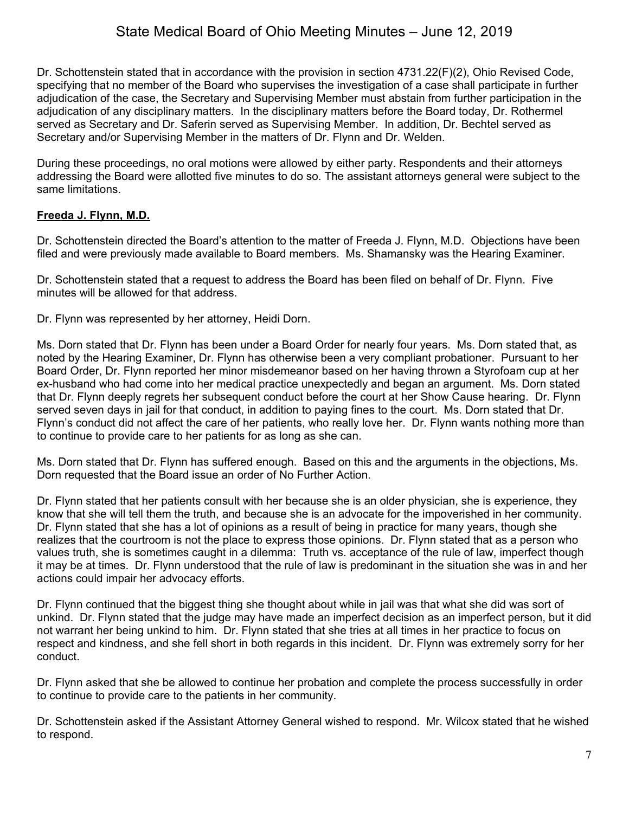Dr. Schottenstein stated that in accordance with the provision in section 4731.22(F)(2), Ohio Revised Code, specifying that no member of the Board who supervises the investigation of a case shall participate in further adjudication of the case, the Secretary and Supervising Member must abstain from further participation in the adjudication of any disciplinary matters. In the disciplinary matters before the Board today, Dr. Rothermel served as Secretary and Dr. Saferin served as Supervising Member. In addition, Dr. Bechtel served as Secretary and/or Supervising Member in the matters of Dr. Flynn and Dr. Welden.

During these proceedings, no oral motions were allowed by either party. Respondents and their attorneys addressing the Board were allotted five minutes to do so. The assistant attorneys general were subject to the same limitations.

## **Freeda J. Flynn, M.D.**

Dr. Schottenstein directed the Board's attention to the matter of Freeda J. Flynn, M.D. Objections have been filed and were previously made available to Board members. Ms. Shamansky was the Hearing Examiner.

Dr. Schottenstein stated that a request to address the Board has been filed on behalf of Dr. Flynn. Five minutes will be allowed for that address.

Dr. Flynn was represented by her attorney, Heidi Dorn.

Ms. Dorn stated that Dr. Flynn has been under a Board Order for nearly four years. Ms. Dorn stated that, as noted by the Hearing Examiner, Dr. Flynn has otherwise been a very compliant probationer. Pursuant to her Board Order, Dr. Flynn reported her minor misdemeanor based on her having thrown a Styrofoam cup at her ex-husband who had come into her medical practice unexpectedly and began an argument. Ms. Dorn stated that Dr. Flynn deeply regrets her subsequent conduct before the court at her Show Cause hearing. Dr. Flynn served seven days in jail for that conduct, in addition to paying fines to the court. Ms. Dorn stated that Dr. Flynn's conduct did not affect the care of her patients, who really love her. Dr. Flynn wants nothing more than to continue to provide care to her patients for as long as she can.

Ms. Dorn stated that Dr. Flynn has suffered enough. Based on this and the arguments in the objections, Ms. Dorn requested that the Board issue an order of No Further Action.

Dr. Flynn stated that her patients consult with her because she is an older physician, she is experience, they know that she will tell them the truth, and because she is an advocate for the impoverished in her community. Dr. Flynn stated that she has a lot of opinions as a result of being in practice for many years, though she realizes that the courtroom is not the place to express those opinions. Dr. Flynn stated that as a person who values truth, she is sometimes caught in a dilemma: Truth vs. acceptance of the rule of law, imperfect though it may be at times. Dr. Flynn understood that the rule of law is predominant in the situation she was in and her actions could impair her advocacy efforts.

Dr. Flynn continued that the biggest thing she thought about while in jail was that what she did was sort of unkind. Dr. Flynn stated that the judge may have made an imperfect decision as an imperfect person, but it did not warrant her being unkind to him. Dr. Flynn stated that she tries at all times in her practice to focus on respect and kindness, and she fell short in both regards in this incident. Dr. Flynn was extremely sorry for her conduct.

Dr. Flynn asked that she be allowed to continue her probation and complete the process successfully in order to continue to provide care to the patients in her community.

Dr. Schottenstein asked if the Assistant Attorney General wished to respond. Mr. Wilcox stated that he wished to respond.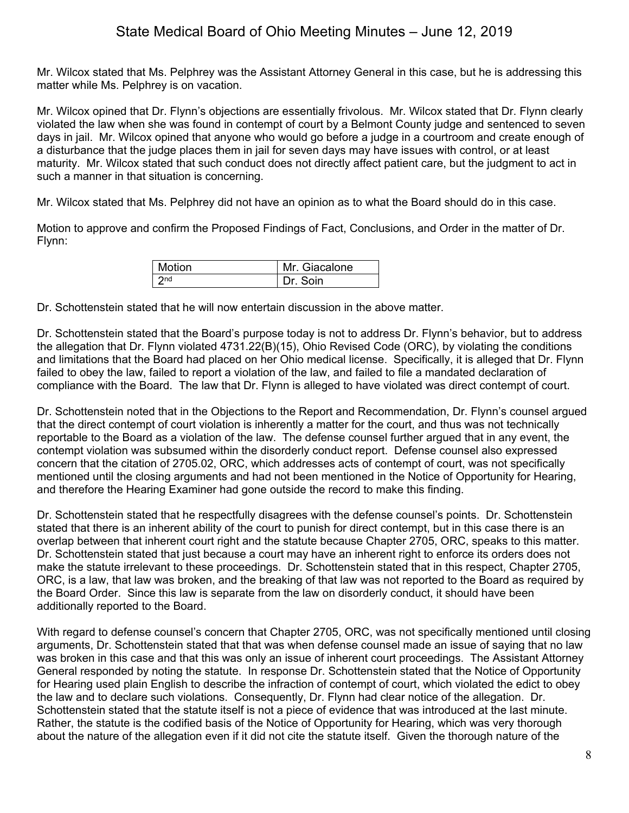Mr. Wilcox stated that Ms. Pelphrey was the Assistant Attorney General in this case, but he is addressing this matter while Ms. Pelphrey is on vacation.

Mr. Wilcox opined that Dr. Flynn's objections are essentially frivolous. Mr. Wilcox stated that Dr. Flynn clearly violated the law when she was found in contempt of court by a Belmont County judge and sentenced to seven days in jail. Mr. Wilcox opined that anyone who would go before a judge in a courtroom and create enough of a disturbance that the judge places them in jail for seven days may have issues with control, or at least maturity. Mr. Wilcox stated that such conduct does not directly affect patient care, but the judgment to act in such a manner in that situation is concerning.

Mr. Wilcox stated that Ms. Pelphrey did not have an opinion as to what the Board should do in this case.

Motion to approve and confirm the Proposed Findings of Fact, Conclusions, and Order in the matter of Dr. Flynn:

| <b>Motion</b> | Mr. Giacalone |
|---------------|---------------|
| 2nd           | Dr Soin       |

Dr. Schottenstein stated that he will now entertain discussion in the above matter.

Dr. Schottenstein stated that the Board's purpose today is not to address Dr. Flynn's behavior, but to address the allegation that Dr. Flynn violated 4731.22(B)(15), Ohio Revised Code (ORC), by violating the conditions and limitations that the Board had placed on her Ohio medical license. Specifically, it is alleged that Dr. Flynn failed to obey the law, failed to report a violation of the law, and failed to file a mandated declaration of compliance with the Board. The law that Dr. Flynn is alleged to have violated was direct contempt of court.

Dr. Schottenstein noted that in the Objections to the Report and Recommendation, Dr. Flynn's counsel argued that the direct contempt of court violation is inherently a matter for the court, and thus was not technically reportable to the Board as a violation of the law. The defense counsel further argued that in any event, the contempt violation was subsumed within the disorderly conduct report. Defense counsel also expressed concern that the citation of 2705.02, ORC, which addresses acts of contempt of court, was not specifically mentioned until the closing arguments and had not been mentioned in the Notice of Opportunity for Hearing, and therefore the Hearing Examiner had gone outside the record to make this finding.

Dr. Schottenstein stated that he respectfully disagrees with the defense counsel's points. Dr. Schottenstein stated that there is an inherent ability of the court to punish for direct contempt, but in this case there is an overlap between that inherent court right and the statute because Chapter 2705, ORC, speaks to this matter. Dr. Schottenstein stated that just because a court may have an inherent right to enforce its orders does not make the statute irrelevant to these proceedings. Dr. Schottenstein stated that in this respect, Chapter 2705, ORC, is a law, that law was broken, and the breaking of that law was not reported to the Board as required by the Board Order. Since this law is separate from the law on disorderly conduct, it should have been additionally reported to the Board.

With regard to defense counsel's concern that Chapter 2705, ORC, was not specifically mentioned until closing arguments, Dr. Schottenstein stated that that was when defense counsel made an issue of saying that no law was broken in this case and that this was only an issue of inherent court proceedings. The Assistant Attorney General responded by noting the statute. In response Dr. Schottenstein stated that the Notice of Opportunity for Hearing used plain English to describe the infraction of contempt of court, which violated the edict to obey the law and to declare such violations. Consequently, Dr. Flynn had clear notice of the allegation. Dr. Schottenstein stated that the statute itself is not a piece of evidence that was introduced at the last minute. Rather, the statute is the codified basis of the Notice of Opportunity for Hearing, which was very thorough about the nature of the allegation even if it did not cite the statute itself. Given the thorough nature of the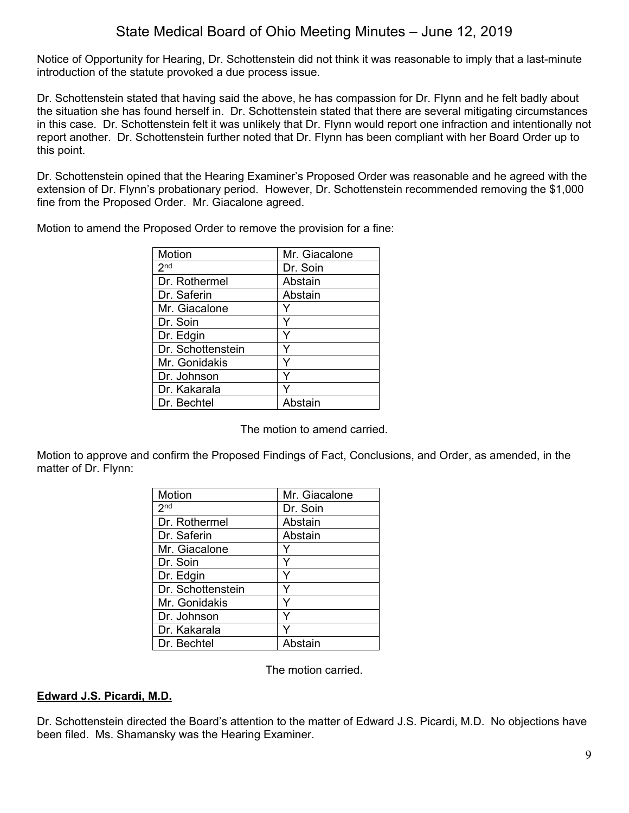Notice of Opportunity for Hearing, Dr. Schottenstein did not think it was reasonable to imply that a last-minute introduction of the statute provoked a due process issue.

Dr. Schottenstein stated that having said the above, he has compassion for Dr. Flynn and he felt badly about the situation she has found herself in. Dr. Schottenstein stated that there are several mitigating circumstances in this case. Dr. Schottenstein felt it was unlikely that Dr. Flynn would report one infraction and intentionally not report another. Dr. Schottenstein further noted that Dr. Flynn has been compliant with her Board Order up to this point.

Dr. Schottenstein opined that the Hearing Examiner's Proposed Order was reasonable and he agreed with the extension of Dr. Flynn's probationary period. However, Dr. Schottenstein recommended removing the \$1,000 fine from the Proposed Order. Mr. Giacalone agreed.

| Motion            | Mr. Giacalone |
|-------------------|---------------|
| 2 <sub>nd</sub>   | Dr. Soin      |
| Dr. Rothermel     | Abstain       |
| Dr. Saferin       | Abstain       |
| Mr. Giacalone     |               |
| Dr. Soin          |               |
| Dr. Edgin         |               |
| Dr. Schottenstein |               |
| Mr. Gonidakis     |               |
| Dr. Johnson       |               |
| Dr. Kakarala      |               |
| Dr. Bechtel       | Ahstain       |

Motion to amend the Proposed Order to remove the provision for a fine:

The motion to amend carried.

Motion to approve and confirm the Proposed Findings of Fact, Conclusions, and Order, as amended, in the matter of Dr. Flynn:

| Motion            |               |
|-------------------|---------------|
|                   | Mr. Giacalone |
| 2 <sup>nd</sup>   | Dr. Soin      |
| Dr. Rothermel     | Abstain       |
| Dr. Saferin       | Abstain       |
| Mr. Giacalone     |               |
| Dr. Soin          | ٧             |
| Dr. Edgin         | Y             |
| Dr. Schottenstein | Y             |
| Mr. Gonidakis     | Y             |
| Dr. Johnson       |               |
| Dr. Kakarala      |               |
| Dr. Bechtel       | Abstain       |

The motion carried.

### **Edward J.S. Picardi, M.D.**

Dr. Schottenstein directed the Board's attention to the matter of Edward J.S. Picardi, M.D. No objections have been filed. Ms. Shamansky was the Hearing Examiner.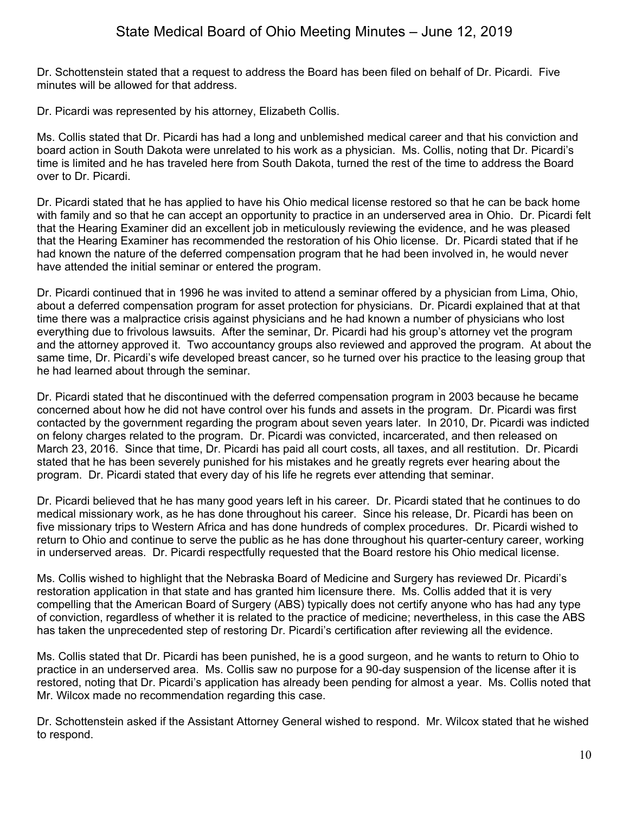Dr. Schottenstein stated that a request to address the Board has been filed on behalf of Dr. Picardi. Five minutes will be allowed for that address.

Dr. Picardi was represented by his attorney, Elizabeth Collis.

Ms. Collis stated that Dr. Picardi has had a long and unblemished medical career and that his conviction and board action in South Dakota were unrelated to his work as a physician. Ms. Collis, noting that Dr. Picardi's time is limited and he has traveled here from South Dakota, turned the rest of the time to address the Board over to Dr. Picardi.

Dr. Picardi stated that he has applied to have his Ohio medical license restored so that he can be back home with family and so that he can accept an opportunity to practice in an underserved area in Ohio. Dr. Picardi felt that the Hearing Examiner did an excellent job in meticulously reviewing the evidence, and he was pleased that the Hearing Examiner has recommended the restoration of his Ohio license. Dr. Picardi stated that if he had known the nature of the deferred compensation program that he had been involved in, he would never have attended the initial seminar or entered the program.

Dr. Picardi continued that in 1996 he was invited to attend a seminar offered by a physician from Lima, Ohio, about a deferred compensation program for asset protection for physicians. Dr. Picardi explained that at that time there was a malpractice crisis against physicians and he had known a number of physicians who lost everything due to frivolous lawsuits. After the seminar, Dr. Picardi had his group's attorney vet the program and the attorney approved it. Two accountancy groups also reviewed and approved the program. At about the same time, Dr. Picardi's wife developed breast cancer, so he turned over his practice to the leasing group that he had learned about through the seminar.

Dr. Picardi stated that he discontinued with the deferred compensation program in 2003 because he became concerned about how he did not have control over his funds and assets in the program. Dr. Picardi was first contacted by the government regarding the program about seven years later. In 2010, Dr. Picardi was indicted on felony charges related to the program. Dr. Picardi was convicted, incarcerated, and then released on March 23, 2016. Since that time, Dr. Picardi has paid all court costs, all taxes, and all restitution. Dr. Picardi stated that he has been severely punished for his mistakes and he greatly regrets ever hearing about the program. Dr. Picardi stated that every day of his life he regrets ever attending that seminar.

Dr. Picardi believed that he has many good years left in his career. Dr. Picardi stated that he continues to do medical missionary work, as he has done throughout his career. Since his release, Dr. Picardi has been on five missionary trips to Western Africa and has done hundreds of complex procedures. Dr. Picardi wished to return to Ohio and continue to serve the public as he has done throughout his quarter-century career, working in underserved areas. Dr. Picardi respectfully requested that the Board restore his Ohio medical license.

Ms. Collis wished to highlight that the Nebraska Board of Medicine and Surgery has reviewed Dr. Picardi's restoration application in that state and has granted him licensure there. Ms. Collis added that it is very compelling that the American Board of Surgery (ABS) typically does not certify anyone who has had any type of conviction, regardless of whether it is related to the practice of medicine; nevertheless, in this case the ABS has taken the unprecedented step of restoring Dr. Picardi's certification after reviewing all the evidence.

Ms. Collis stated that Dr. Picardi has been punished, he is a good surgeon, and he wants to return to Ohio to practice in an underserved area. Ms. Collis saw no purpose for a 90-day suspension of the license after it is restored, noting that Dr. Picardi's application has already been pending for almost a year. Ms. Collis noted that Mr. Wilcox made no recommendation regarding this case.

Dr. Schottenstein asked if the Assistant Attorney General wished to respond. Mr. Wilcox stated that he wished to respond.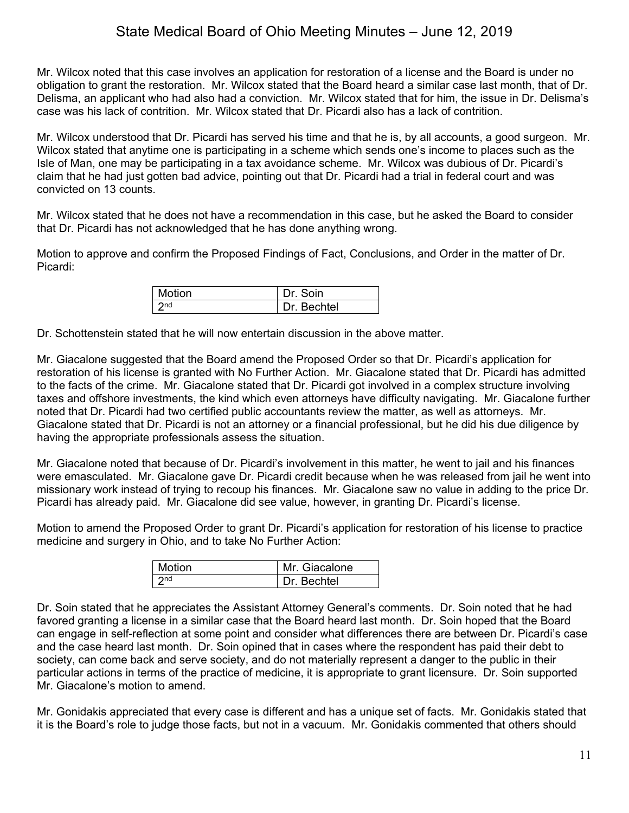Mr. Wilcox noted that this case involves an application for restoration of a license and the Board is under no obligation to grant the restoration. Mr. Wilcox stated that the Board heard a similar case last month, that of Dr. Delisma, an applicant who had also had a conviction. Mr. Wilcox stated that for him, the issue in Dr. Delisma's case was his lack of contrition. Mr. Wilcox stated that Dr. Picardi also has a lack of contrition.

Mr. Wilcox understood that Dr. Picardi has served his time and that he is, by all accounts, a good surgeon. Mr. Wilcox stated that anytime one is participating in a scheme which sends one's income to places such as the Isle of Man, one may be participating in a tax avoidance scheme. Mr. Wilcox was dubious of Dr. Picardi's claim that he had just gotten bad advice, pointing out that Dr. Picardi had a trial in federal court and was convicted on 13 counts.

Mr. Wilcox stated that he does not have a recommendation in this case, but he asked the Board to consider that Dr. Picardi has not acknowledged that he has done anything wrong.

Motion to approve and confirm the Proposed Findings of Fact, Conclusions, and Order in the matter of Dr. Picardi:

| Motion      | Soin                 |
|-------------|----------------------|
| <b>o</b> nd | <b>Bechtel</b><br>Dr |

Dr. Schottenstein stated that he will now entertain discussion in the above matter.

Mr. Giacalone suggested that the Board amend the Proposed Order so that Dr. Picardi's application for restoration of his license is granted with No Further Action. Mr. Giacalone stated that Dr. Picardi has admitted to the facts of the crime. Mr. Giacalone stated that Dr. Picardi got involved in a complex structure involving taxes and offshore investments, the kind which even attorneys have difficulty navigating. Mr. Giacalone further noted that Dr. Picardi had two certified public accountants review the matter, as well as attorneys. Mr. Giacalone stated that Dr. Picardi is not an attorney or a financial professional, but he did his due diligence by having the appropriate professionals assess the situation.

Mr. Giacalone noted that because of Dr. Picardi's involvement in this matter, he went to jail and his finances were emasculated. Mr. Giacalone gave Dr. Picardi credit because when he was released from jail he went into missionary work instead of trying to recoup his finances. Mr. Giacalone saw no value in adding to the price Dr. Picardi has already paid. Mr. Giacalone did see value, however, in granting Dr. Picardi's license.

Motion to amend the Proposed Order to grant Dr. Picardi's application for restoration of his license to practice medicine and surgery in Ohio, and to take No Further Action:

| Motion | Mr. Giacalone |
|--------|---------------|
| 2nd    | Dr. Bechtel   |

Dr. Soin stated that he appreciates the Assistant Attorney General's comments. Dr. Soin noted that he had favored granting a license in a similar case that the Board heard last month. Dr. Soin hoped that the Board can engage in self-reflection at some point and consider what differences there are between Dr. Picardi's case and the case heard last month. Dr. Soin opined that in cases where the respondent has paid their debt to society, can come back and serve society, and do not materially represent a danger to the public in their particular actions in terms of the practice of medicine, it is appropriate to grant licensure. Dr. Soin supported Mr. Giacalone's motion to amend.

Mr. Gonidakis appreciated that every case is different and has a unique set of facts. Mr. Gonidakis stated that it is the Board's role to judge those facts, but not in a vacuum. Mr. Gonidakis commented that others should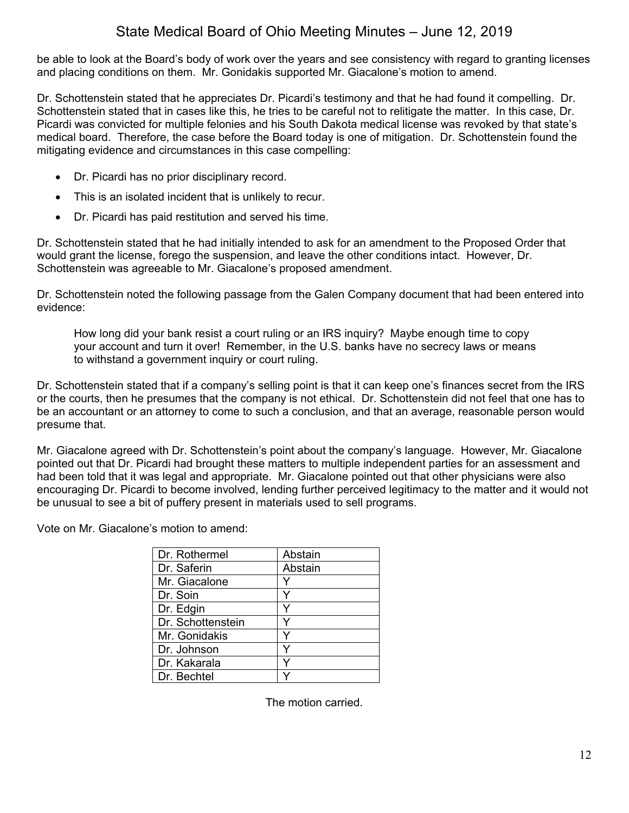be able to look at the Board's body of work over the years and see consistency with regard to granting licenses and placing conditions on them. Mr. Gonidakis supported Mr. Giacalone's motion to amend.

Dr. Schottenstein stated that he appreciates Dr. Picardi's testimony and that he had found it compelling. Dr. Schottenstein stated that in cases like this, he tries to be careful not to relitigate the matter. In this case, Dr. Picardi was convicted for multiple felonies and his South Dakota medical license was revoked by that state's medical board. Therefore, the case before the Board today is one of mitigation. Dr. Schottenstein found the mitigating evidence and circumstances in this case compelling:

- Dr. Picardi has no prior disciplinary record.
- This is an isolated incident that is unlikely to recur.
- Dr. Picardi has paid restitution and served his time.

Dr. Schottenstein stated that he had initially intended to ask for an amendment to the Proposed Order that would grant the license, forego the suspension, and leave the other conditions intact. However, Dr. Schottenstein was agreeable to Mr. Giacalone's proposed amendment.

Dr. Schottenstein noted the following passage from the Galen Company document that had been entered into evidence:

How long did your bank resist a court ruling or an IRS inquiry? Maybe enough time to copy your account and turn it over! Remember, in the U.S. banks have no secrecy laws or means to withstand a government inquiry or court ruling.

Dr. Schottenstein stated that if a company's selling point is that it can keep one's finances secret from the IRS or the courts, then he presumes that the company is not ethical. Dr. Schottenstein did not feel that one has to be an accountant or an attorney to come to such a conclusion, and that an average, reasonable person would presume that.

Mr. Giacalone agreed with Dr. Schottenstein's point about the company's language. However, Mr. Giacalone pointed out that Dr. Picardi had brought these matters to multiple independent parties for an assessment and had been told that it was legal and appropriate. Mr. Giacalone pointed out that other physicians were also encouraging Dr. Picardi to become involved, lending further perceived legitimacy to the matter and it would not be unusual to see a bit of puffery present in materials used to sell programs.

Vote on Mr. Giacalone's motion to amend:

| Abstain |
|---------|
| Abstain |
|         |
|         |
| v       |
|         |
|         |
|         |
|         |
|         |
|         |

The motion carried.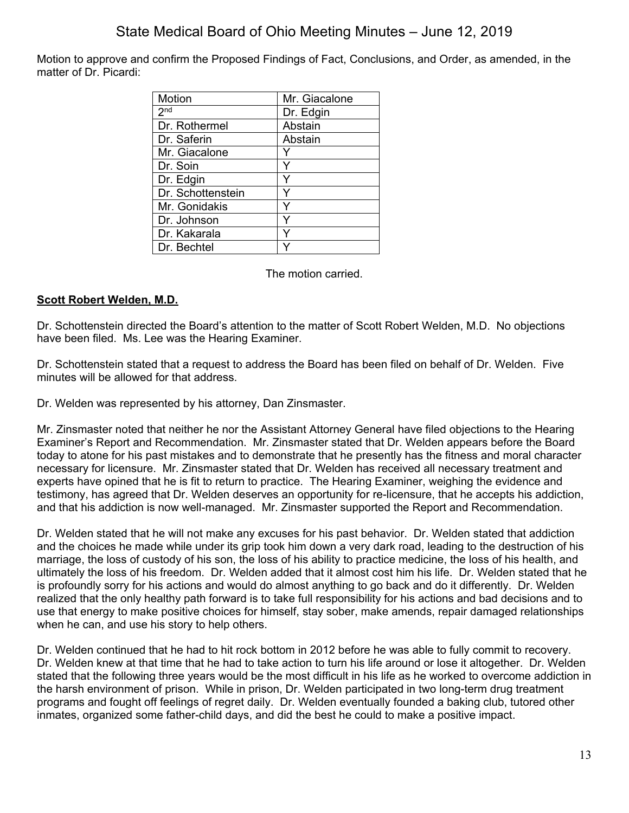Motion to approve and confirm the Proposed Findings of Fact, Conclusions, and Order, as amended, in the matter of Dr. Picardi:

| Motion            | Mr. Giacalone |
|-------------------|---------------|
| 2 <sup>nd</sup>   | Dr. Edgin     |
| Dr. Rothermel     | Abstain       |
| Dr. Saferin       | Abstain       |
| Mr. Giacalone     |               |
| Dr. Soin          | Y             |
| Dr. Edgin         | Υ             |
| Dr. Schottenstein | Y             |
| Mr. Gonidakis     | Y             |
| Dr. Johnson       | Y             |
| Dr. Kakarala      | ٧             |
| Dr. Bechtel       |               |

The motion carried.

## **Scott Robert Welden, M.D.**

Dr. Schottenstein directed the Board's attention to the matter of Scott Robert Welden, M.D. No objections have been filed. Ms. Lee was the Hearing Examiner.

Dr. Schottenstein stated that a request to address the Board has been filed on behalf of Dr. Welden. Five minutes will be allowed for that address.

Dr. Welden was represented by his attorney, Dan Zinsmaster.

Mr. Zinsmaster noted that neither he nor the Assistant Attorney General have filed objections to the Hearing Examiner's Report and Recommendation. Mr. Zinsmaster stated that Dr. Welden appears before the Board today to atone for his past mistakes and to demonstrate that he presently has the fitness and moral character necessary for licensure. Mr. Zinsmaster stated that Dr. Welden has received all necessary treatment and experts have opined that he is fit to return to practice. The Hearing Examiner, weighing the evidence and testimony, has agreed that Dr. Welden deserves an opportunity for re-licensure, that he accepts his addiction, and that his addiction is now well-managed. Mr. Zinsmaster supported the Report and Recommendation.

Dr. Welden stated that he will not make any excuses for his past behavior. Dr. Welden stated that addiction and the choices he made while under its grip took him down a very dark road, leading to the destruction of his marriage, the loss of custody of his son, the loss of his ability to practice medicine, the loss of his health, and ultimately the loss of his freedom. Dr. Welden added that it almost cost him his life. Dr. Welden stated that he is profoundly sorry for his actions and would do almost anything to go back and do it differently. Dr. Welden realized that the only healthy path forward is to take full responsibility for his actions and bad decisions and to use that energy to make positive choices for himself, stay sober, make amends, repair damaged relationships when he can, and use his story to help others.

Dr. Welden continued that he had to hit rock bottom in 2012 before he was able to fully commit to recovery. Dr. Welden knew at that time that he had to take action to turn his life around or lose it altogether. Dr. Welden stated that the following three years would be the most difficult in his life as he worked to overcome addiction in the harsh environment of prison. While in prison, Dr. Welden participated in two long-term drug treatment programs and fought off feelings of regret daily. Dr. Welden eventually founded a baking club, tutored other inmates, organized some father-child days, and did the best he could to make a positive impact.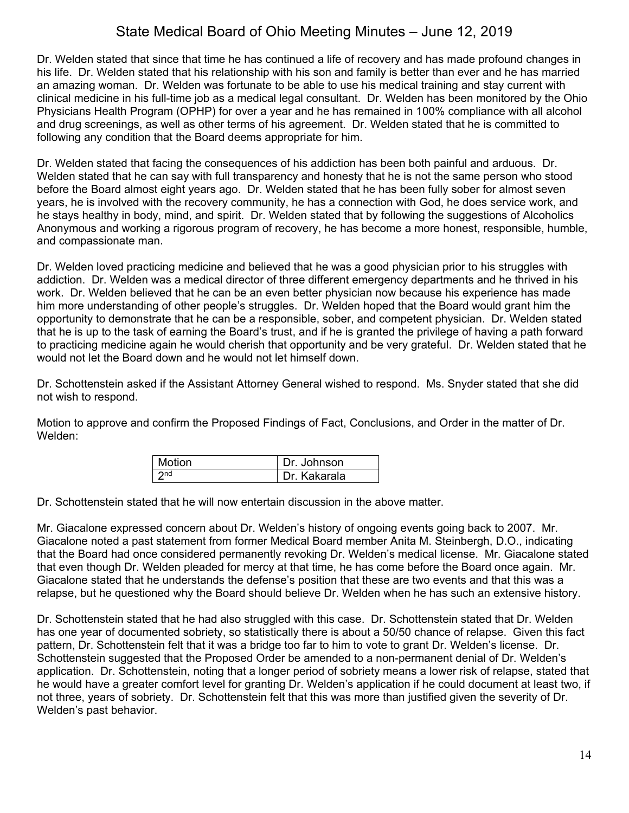Dr. Welden stated that since that time he has continued a life of recovery and has made profound changes in his life. Dr. Welden stated that his relationship with his son and family is better than ever and he has married an amazing woman. Dr. Welden was fortunate to be able to use his medical training and stay current with clinical medicine in his full-time job as a medical legal consultant. Dr. Welden has been monitored by the Ohio Physicians Health Program (OPHP) for over a year and he has remained in 100% compliance with all alcohol and drug screenings, as well as other terms of his agreement. Dr. Welden stated that he is committed to following any condition that the Board deems appropriate for him.

Dr. Welden stated that facing the consequences of his addiction has been both painful and arduous. Dr. Welden stated that he can say with full transparency and honesty that he is not the same person who stood before the Board almost eight years ago. Dr. Welden stated that he has been fully sober for almost seven years, he is involved with the recovery community, he has a connection with God, he does service work, and he stays healthy in body, mind, and spirit. Dr. Welden stated that by following the suggestions of Alcoholics Anonymous and working a rigorous program of recovery, he has become a more honest, responsible, humble, and compassionate man.

Dr. Welden loved practicing medicine and believed that he was a good physician prior to his struggles with addiction. Dr. Welden was a medical director of three different emergency departments and he thrived in his work. Dr. Welden believed that he can be an even better physician now because his experience has made him more understanding of other people's struggles. Dr. Welden hoped that the Board would grant him the opportunity to demonstrate that he can be a responsible, sober, and competent physician. Dr. Welden stated that he is up to the task of earning the Board's trust, and if he is granted the privilege of having a path forward to practicing medicine again he would cherish that opportunity and be very grateful. Dr. Welden stated that he would not let the Board down and he would not let himself down.

Dr. Schottenstein asked if the Assistant Attorney General wished to respond. Ms. Snyder stated that she did not wish to respond.

Motion to approve and confirm the Proposed Findings of Fact, Conclusions, and Order in the matter of Dr. Welden:

| <b>Motion</b> | Dr. Johnson  |
|---------------|--------------|
| 2nd           | Dr. Kakarala |

Dr. Schottenstein stated that he will now entertain discussion in the above matter.

Mr. Giacalone expressed concern about Dr. Welden's history of ongoing events going back to 2007. Mr. Giacalone noted a past statement from former Medical Board member Anita M. Steinbergh, D.O., indicating that the Board had once considered permanently revoking Dr. Welden's medical license. Mr. Giacalone stated that even though Dr. Welden pleaded for mercy at that time, he has come before the Board once again. Mr. Giacalone stated that he understands the defense's position that these are two events and that this was a relapse, but he questioned why the Board should believe Dr. Welden when he has such an extensive history.

Dr. Schottenstein stated that he had also struggled with this case. Dr. Schottenstein stated that Dr. Welden has one year of documented sobriety, so statistically there is about a 50/50 chance of relapse. Given this fact pattern, Dr. Schottenstein felt that it was a bridge too far to him to vote to grant Dr. Welden's license. Dr. Schottenstein suggested that the Proposed Order be amended to a non-permanent denial of Dr. Welden's application. Dr. Schottenstein, noting that a longer period of sobriety means a lower risk of relapse, stated that he would have a greater comfort level for granting Dr. Welden's application if he could document at least two, if not three, years of sobriety. Dr. Schottenstein felt that this was more than justified given the severity of Dr. Welden's past behavior.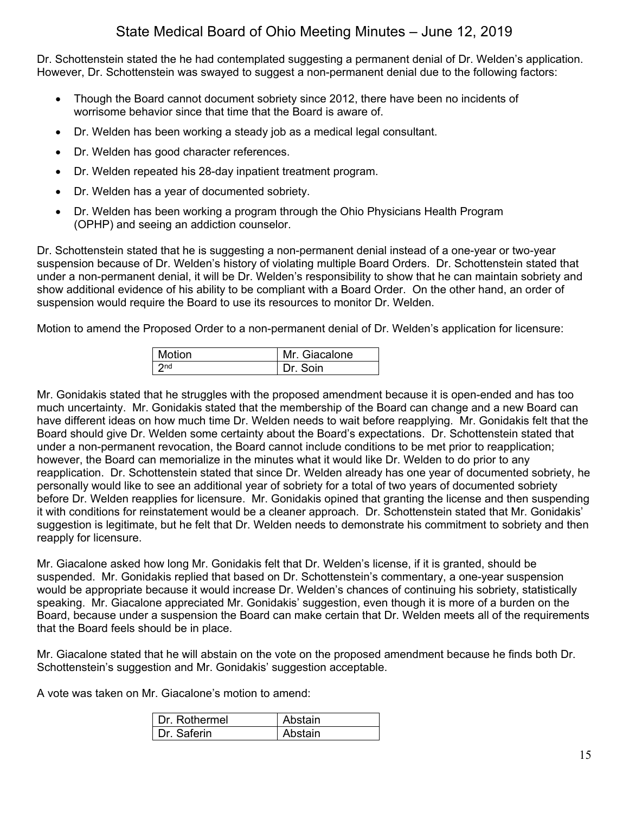Dr. Schottenstein stated the he had contemplated suggesting a permanent denial of Dr. Welden's application. However, Dr. Schottenstein was swayed to suggest a non-permanent denial due to the following factors:

- Though the Board cannot document sobriety since 2012, there have been no incidents of worrisome behavior since that time that the Board is aware of.
- Dr. Welden has been working a steady job as a medical legal consultant.
- Dr. Welden has good character references.
- Dr. Welden repeated his 28-day inpatient treatment program.
- Dr. Welden has a year of documented sobriety.
- Dr. Welden has been working a program through the Ohio Physicians Health Program (OPHP) and seeing an addiction counselor.

Dr. Schottenstein stated that he is suggesting a non-permanent denial instead of a one-year or two-year suspension because of Dr. Welden's history of violating multiple Board Orders. Dr. Schottenstein stated that under a non-permanent denial, it will be Dr. Welden's responsibility to show that he can maintain sobriety and show additional evidence of his ability to be compliant with a Board Order. On the other hand, an order of suspension would require the Board to use its resources to monitor Dr. Welden.

Motion to amend the Proposed Order to a non-permanent denial of Dr. Welden's application for licensure:

| Motion      | Mr. Giacalone |
|-------------|---------------|
| $\vert$ 2nd | Dr Soin       |

Mr. Gonidakis stated that he struggles with the proposed amendment because it is open-ended and has too much uncertainty. Mr. Gonidakis stated that the membership of the Board can change and a new Board can have different ideas on how much time Dr. Welden needs to wait before reapplying. Mr. Gonidakis felt that the Board should give Dr. Welden some certainty about the Board's expectations. Dr. Schottenstein stated that under a non-permanent revocation, the Board cannot include conditions to be met prior to reapplication; however, the Board can memorialize in the minutes what it would like Dr. Welden to do prior to any reapplication. Dr. Schottenstein stated that since Dr. Welden already has one year of documented sobriety, he personally would like to see an additional year of sobriety for a total of two years of documented sobriety before Dr. Welden reapplies for licensure. Mr. Gonidakis opined that granting the license and then suspending it with conditions for reinstatement would be a cleaner approach. Dr. Schottenstein stated that Mr. Gonidakis' suggestion is legitimate, but he felt that Dr. Welden needs to demonstrate his commitment to sobriety and then reapply for licensure.

Mr. Giacalone asked how long Mr. Gonidakis felt that Dr. Welden's license, if it is granted, should be suspended. Mr. Gonidakis replied that based on Dr. Schottenstein's commentary, a one-year suspension would be appropriate because it would increase Dr. Welden's chances of continuing his sobriety, statistically speaking. Mr. Giacalone appreciated Mr. Gonidakis' suggestion, even though it is more of a burden on the Board, because under a suspension the Board can make certain that Dr. Welden meets all of the requirements that the Board feels should be in place.

Mr. Giacalone stated that he will abstain on the vote on the proposed amendment because he finds both Dr. Schottenstein's suggestion and Mr. Gonidakis' suggestion acceptable.

A vote was taken on Mr. Giacalone's motion to amend:

| Dr Rothermel | Abstain |
|--------------|---------|
| Dr Saferin   | Abstain |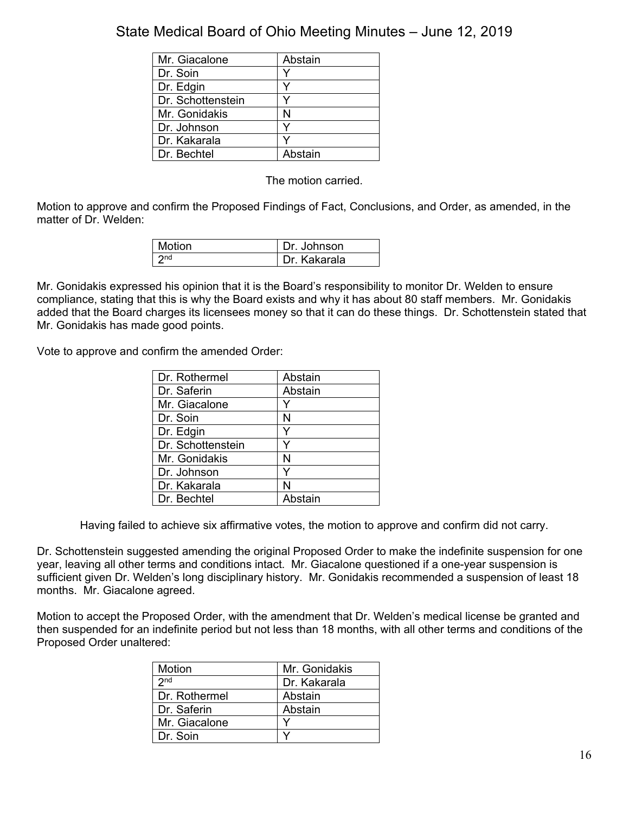| Mr. Giacalone     | Abstain |
|-------------------|---------|
| Dr. Soin          |         |
| Dr. Edgin         |         |
| Dr. Schottenstein |         |
| Mr. Gonidakis     | N       |
| Dr. Johnson       |         |
| Dr. Kakarala      |         |
| Dr. Bechtel       | Abstain |

The motion carried.

Motion to approve and confirm the Proposed Findings of Fact, Conclusions, and Order, as amended, in the matter of Dr. Welden:

| Motion          | Dr. Johnson  |
|-----------------|--------------|
| 2 <sub>nd</sub> | Dr. Kakarala |

Mr. Gonidakis expressed his opinion that it is the Board's responsibility to monitor Dr. Welden to ensure compliance, stating that this is why the Board exists and why it has about 80 staff members. Mr. Gonidakis added that the Board charges its licensees money so that it can do these things. Dr. Schottenstein stated that Mr. Gonidakis has made good points.

Vote to approve and confirm the amended Order:

| Dr. Rothermel     | Abstain |
|-------------------|---------|
| Dr. Saferin       | Abstain |
| Mr. Giacalone     | Y       |
| Dr. Soin          | N       |
| Dr. Edgin         | Y       |
| Dr. Schottenstein | ٧       |
| Mr. Gonidakis     | N       |
| Dr. Johnson       | Υ       |
| Dr. Kakarala      | N       |
| Dr. Bechtel       | Abstain |

Having failed to achieve six affirmative votes, the motion to approve and confirm did not carry.

Dr. Schottenstein suggested amending the original Proposed Order to make the indefinite suspension for one year, leaving all other terms and conditions intact. Mr. Giacalone questioned if a one-year suspension is sufficient given Dr. Welden's long disciplinary history. Mr. Gonidakis recommended a suspension of least 18 months. Mr. Giacalone agreed.

Motion to accept the Proposed Order, with the amendment that Dr. Welden's medical license be granted and then suspended for an indefinite period but not less than 18 months, with all other terms and conditions of the Proposed Order unaltered:

| Motion        | Mr. Gonidakis |
|---------------|---------------|
| $2n$ d        | Dr. Kakarala  |
| Dr. Rothermel | Abstain       |
| Dr. Saferin   | Abstain       |
| Mr. Giacalone |               |
| Dr. Soin      |               |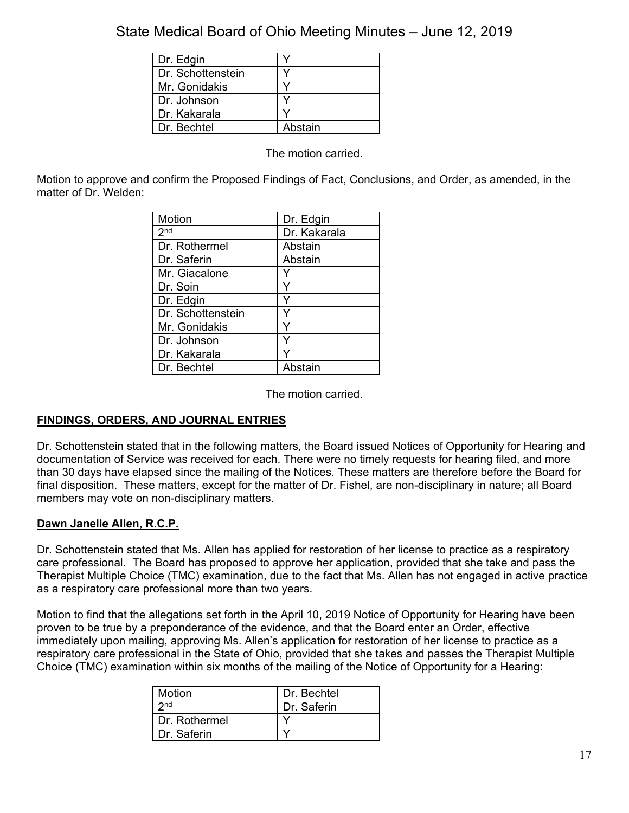| Dr. Edgin         |         |
|-------------------|---------|
| Dr. Schottenstein |         |
| Mr. Gonidakis     |         |
| Dr. Johnson       |         |
| Dr. Kakarala      |         |
| Dr. Bechtel       | Abstain |

The motion carried.

Motion to approve and confirm the Proposed Findings of Fact, Conclusions, and Order, as amended, in the matter of Dr. Welden:

| Motion            | Dr. Edgin    |
|-------------------|--------------|
| 2 <sup>nd</sup>   | Dr. Kakarala |
| Dr. Rothermel     | Abstain      |
| Dr. Saferin       | Abstain      |
| Mr. Giacalone     |              |
| Dr. Soin          | Υ            |
| Dr. Edgin         | Υ            |
| Dr. Schottenstein | ٧            |
| Mr. Gonidakis     | ٧            |
| Dr. Johnson       | ٧            |
| Dr. Kakarala      |              |
| Dr. Bechtel       | Abstain      |

The motion carried.

## **FINDINGS, ORDERS, AND JOURNAL ENTRIES**

Dr. Schottenstein stated that in the following matters, the Board issued Notices of Opportunity for Hearing and documentation of Service was received for each. There were no timely requests for hearing filed, and more than 30 days have elapsed since the mailing of the Notices. These matters are therefore before the Board for final disposition. These matters, except for the matter of Dr. Fishel, are non-disciplinary in nature; all Board members may vote on non-disciplinary matters.

## **Dawn Janelle Allen, R.C.P.**

Dr. Schottenstein stated that Ms. Allen has applied for restoration of her license to practice as a respiratory care professional. The Board has proposed to approve her application, provided that she take and pass the Therapist Multiple Choice (TMC) examination, due to the fact that Ms. Allen has not engaged in active practice as a respiratory care professional more than two years.

Motion to find that the allegations set forth in the April 10, 2019 Notice of Opportunity for Hearing have been proven to be true by a preponderance of the evidence, and that the Board enter an Order, effective immediately upon mailing, approving Ms. Allen's application for restoration of her license to practice as a respiratory care professional in the State of Ohio, provided that she takes and passes the Therapist Multiple Choice (TMC) examination within six months of the mailing of the Notice of Opportunity for a Hearing:

| <b>Motion</b>   | Dr. Bechtel |
|-----------------|-------------|
| 2 <sub>nd</sub> | Dr. Saferin |
| Dr. Rothermel   |             |
| Dr. Saferin     |             |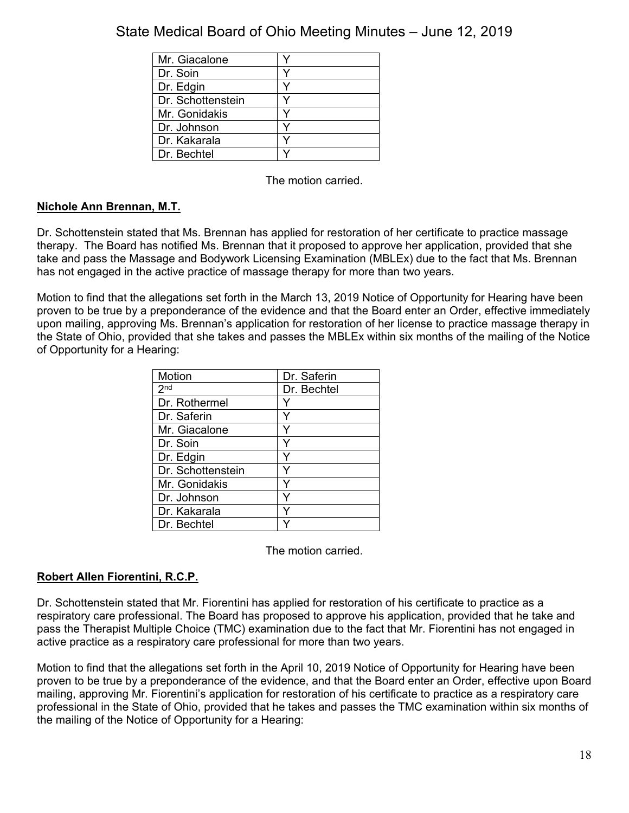| Mr. Giacalone     |  |
|-------------------|--|
| Dr. Soin          |  |
| Dr. Edgin         |  |
| Dr. Schottenstein |  |
| Mr. Gonidakis     |  |
| Dr. Johnson       |  |
| Dr. Kakarala      |  |
| Dr. Bechtel       |  |

The motion carried.

## **Nichole Ann Brennan, M.T.**

Dr. Schottenstein stated that Ms. Brennan has applied for restoration of her certificate to practice massage therapy. The Board has notified Ms. Brennan that it proposed to approve her application, provided that she take and pass the Massage and Bodywork Licensing Examination (MBLEx) due to the fact that Ms. Brennan has not engaged in the active practice of massage therapy for more than two years.

Motion to find that the allegations set forth in the March 13, 2019 Notice of Opportunity for Hearing have been proven to be true by a preponderance of the evidence and that the Board enter an Order, effective immediately upon mailing, approving Ms. Brennan's application for restoration of her license to practice massage therapy in the State of Ohio, provided that she takes and passes the MBLEx within six months of the mailing of the Notice of Opportunity for a Hearing:

| Motion            | Dr. Saferin |
|-------------------|-------------|
| 2 <sub>nd</sub>   | Dr. Bechtel |
| Dr. Rothermel     |             |
| Dr. Saferin       |             |
| Mr. Giacalone     |             |
| Dr. Soin          |             |
| Dr. Edgin         | Y           |
| Dr. Schottenstein |             |
| Mr. Gonidakis     |             |
| Dr. Johnson       |             |
| Dr. Kakarala      |             |
| Dr. Bechtel       |             |

The motion carried.

## **Robert Allen Fiorentini, R.C.P.**

Dr. Schottenstein stated that Mr. Fiorentini has applied for restoration of his certificate to practice as a respiratory care professional. The Board has proposed to approve his application, provided that he take and pass the Therapist Multiple Choice (TMC) examination due to the fact that Mr. Fiorentini has not engaged in active practice as a respiratory care professional for more than two years.

Motion to find that the allegations set forth in the April 10, 2019 Notice of Opportunity for Hearing have been proven to be true by a preponderance of the evidence, and that the Board enter an Order, effective upon Board mailing, approving Mr. Fiorentini's application for restoration of his certificate to practice as a respiratory care professional in the State of Ohio, provided that he takes and passes the TMC examination within six months of the mailing of the Notice of Opportunity for a Hearing: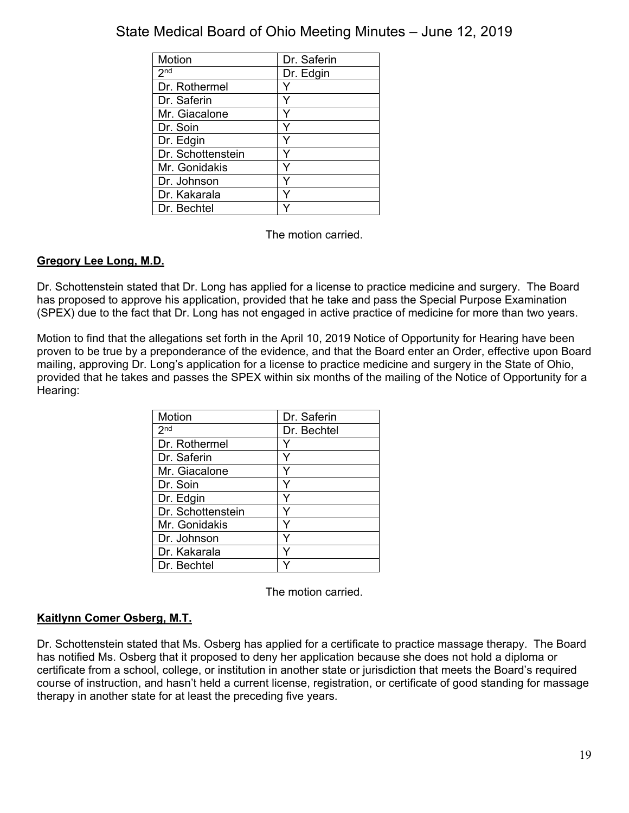| Motion            | Dr. Saferin |
|-------------------|-------------|
| 2 <sub>nd</sub>   | Dr. Edgin   |
| Dr. Rothermel     |             |
| Dr. Saferin       |             |
| Mr. Giacalone     |             |
| Dr. Soin          |             |
| Dr. Edgin         |             |
| Dr. Schottenstein |             |
| Mr. Gonidakis     |             |
| Dr. Johnson       |             |
| Dr. Kakarala      |             |
| Dr. Bechtel       |             |

The motion carried.

## **Gregory Lee Long, M.D.**

Dr. Schottenstein stated that Dr. Long has applied for a license to practice medicine and surgery. The Board has proposed to approve his application, provided that he take and pass the Special Purpose Examination (SPEX) due to the fact that Dr. Long has not engaged in active practice of medicine for more than two years.

Motion to find that the allegations set forth in the April 10, 2019 Notice of Opportunity for Hearing have been proven to be true by a preponderance of the evidence, and that the Board enter an Order, effective upon Board mailing, approving Dr. Long's application for a license to practice medicine and surgery in the State of Ohio, provided that he takes and passes the SPEX within six months of the mailing of the Notice of Opportunity for a Hearing:

| Motion            | Dr. Saferin |
|-------------------|-------------|
| 2 <sup>nd</sup>   | Dr. Bechtel |
| Dr. Rothermel     |             |
| Dr. Saferin       |             |
| Mr. Giacalone     |             |
| Dr. Soin          |             |
| Dr. Edgin         |             |
| Dr. Schottenstein |             |
| Mr. Gonidakis     |             |
| Dr. Johnson       |             |
| Dr. Kakarala      |             |
| Dr. Bechtel       |             |

The motion carried.

## **Kaitlynn Comer Osberg, M.T.**

Dr. Schottenstein stated that Ms. Osberg has applied for a certificate to practice massage therapy. The Board has notified Ms. Osberg that it proposed to deny her application because she does not hold a diploma or certificate from a school, college, or institution in another state or jurisdiction that meets the Board's required course of instruction, and hasn't held a current license, registration, or certificate of good standing for massage therapy in another state for at least the preceding five years.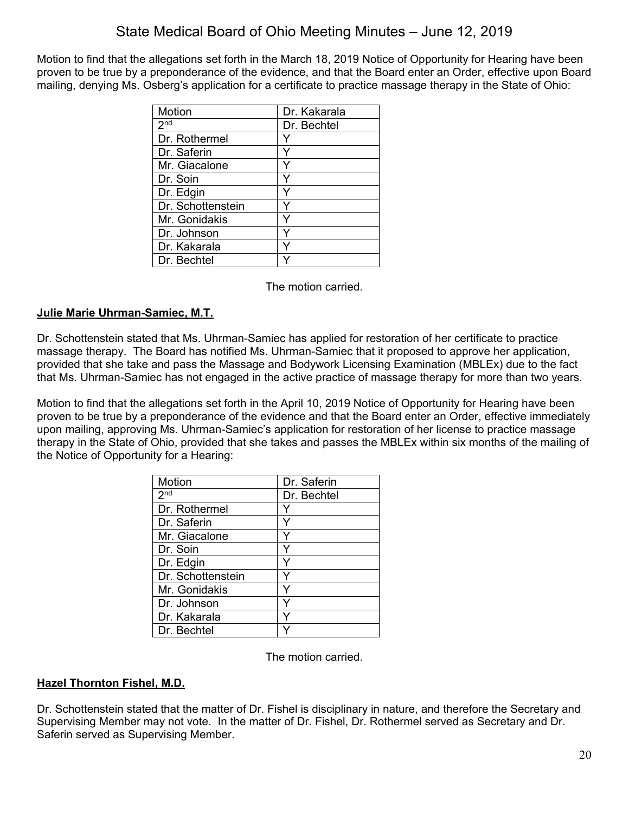Motion to find that the allegations set forth in the March 18, 2019 Notice of Opportunity for Hearing have been proven to be true by a preponderance of the evidence, and that the Board enter an Order, effective upon Board mailing, denying Ms. Osberg's application for a certificate to practice massage therapy in the State of Ohio:

| Motion            | Dr. Kakarala |
|-------------------|--------------|
| 2 <sup>nd</sup>   | Dr. Bechtel  |
| Dr. Rothermel     |              |
| Dr. Saferin       |              |
| Mr. Giacalone     |              |
| Dr. Soin          |              |
| Dr. Edgin         |              |
| Dr. Schottenstein |              |
| Mr. Gonidakis     |              |
| Dr. Johnson       | v            |
| Dr. Kakarala      |              |
| Dr. Bechtel       |              |

The motion carried.

## **Julie Marie Uhrman-Samiec, M.T.**

Dr. Schottenstein stated that Ms. Uhrman-Samiec has applied for restoration of her certificate to practice massage therapy. The Board has notified Ms. Uhrman-Samiec that it proposed to approve her application, provided that she take and pass the Massage and Bodywork Licensing Examination (MBLEx) due to the fact that Ms. Uhrman-Samiec has not engaged in the active practice of massage therapy for more than two years.

Motion to find that the allegations set forth in the April 10, 2019 Notice of Opportunity for Hearing have been proven to be true by a preponderance of the evidence and that the Board enter an Order, effective immediately upon mailing, approving Ms. Uhrman-Samiec's application for restoration of her license to practice massage therapy in the State of Ohio, provided that she takes and passes the MBLEx within six months of the mailing of the Notice of Opportunity for a Hearing:

| Motion            | Dr. Saferin |
|-------------------|-------------|
| 2 <sub>nd</sub>   | Dr. Bechtel |
| Dr. Rothermel     |             |
| Dr. Saferin       |             |
| Mr. Giacalone     | Y           |
| Dr. Soin          | Y           |
| Dr. Edgin         | Y           |
| Dr. Schottenstein |             |
| Mr. Gonidakis     | Y           |
| Dr. Johnson       | Y           |
| Dr. Kakarala      | Y           |
| Dr. Bechtel       |             |

The motion carried.

### **Hazel Thornton Fishel, M.D.**

Dr. Schottenstein stated that the matter of Dr. Fishel is disciplinary in nature, and therefore the Secretary and Supervising Member may not vote. In the matter of Dr. Fishel, Dr. Rothermel served as Secretary and Dr. Saferin served as Supervising Member.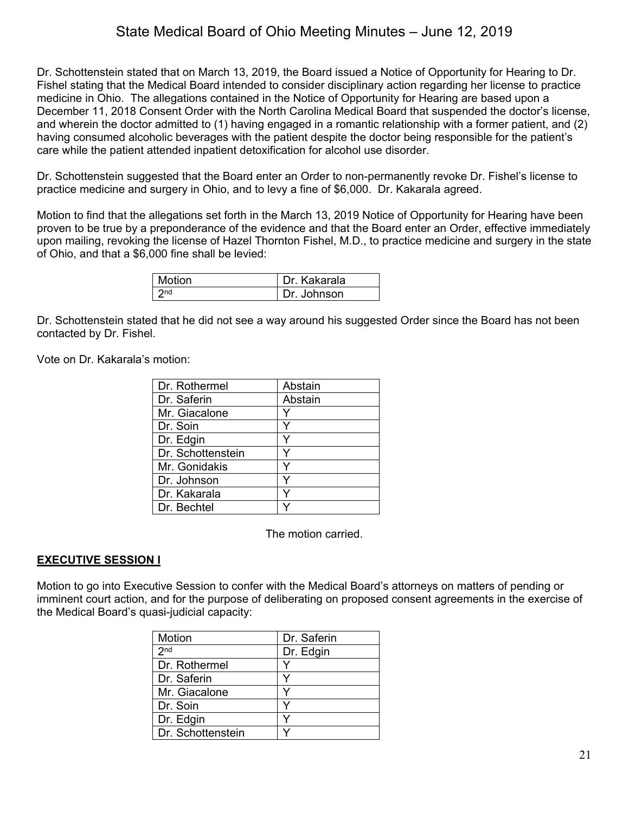Dr. Schottenstein stated that on March 13, 2019, the Board issued a Notice of Opportunity for Hearing to Dr. Fishel stating that the Medical Board intended to consider disciplinary action regarding her license to practice medicine in Ohio. The allegations contained in the Notice of Opportunity for Hearing are based upon a December 11, 2018 Consent Order with the North Carolina Medical Board that suspended the doctor's license, and wherein the doctor admitted to (1) having engaged in a romantic relationship with a former patient, and (2) having consumed alcoholic beverages with the patient despite the doctor being responsible for the patient's care while the patient attended inpatient detoxification for alcohol use disorder.

Dr. Schottenstein suggested that the Board enter an Order to non-permanently revoke Dr. Fishel's license to practice medicine and surgery in Ohio, and to levy a fine of \$6,000. Dr. Kakarala agreed.

Motion to find that the allegations set forth in the March 13, 2019 Notice of Opportunity for Hearing have been proven to be true by a preponderance of the evidence and that the Board enter an Order, effective immediately upon mailing, revoking the license of Hazel Thornton Fishel, M.D., to practice medicine and surgery in the state of Ohio, and that a \$6,000 fine shall be levied:

| Motion | Dr. Kakarala |
|--------|--------------|
| 2nd    | Dr. Johnson  |

Dr. Schottenstein stated that he did not see a way around his suggested Order since the Board has not been contacted by Dr. Fishel.

Vote on Dr. Kakarala's motion:

| Dr. Rothermel     | Abstain |
|-------------------|---------|
| Dr. Saferin       | Abstain |
| Mr. Giacalone     |         |
| Dr. Soin          |         |
| Dr. Edgin         | Y       |
| Dr. Schottenstein | Y       |
| Mr. Gonidakis     |         |
| Dr. Johnson       | v       |
| Dr. Kakarala      |         |
| Dr. Bechtel       |         |

The motion carried.

#### **EXECUTIVE SESSION I**

Motion to go into Executive Session to confer with the Medical Board's attorneys on matters of pending or imminent court action, and for the purpose of deliberating on proposed consent agreements in the exercise of the Medical Board's quasi-judicial capacity:

| Motion            | Dr. Saferin |
|-------------------|-------------|
| 2 <sub>nd</sub>   | Dr. Edgin   |
| Dr. Rothermel     |             |
| Dr. Saferin       |             |
| Mr. Giacalone     |             |
| Dr. Soin          |             |
| Dr. Edgin         |             |
| Dr. Schottenstein |             |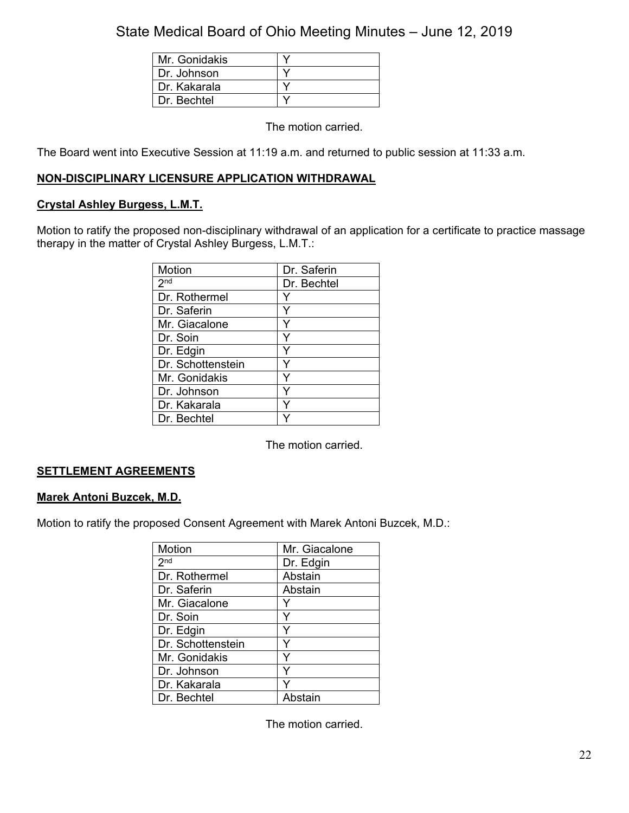| Mr. Gonidakis |  |
|---------------|--|
| Dr. Johnson   |  |
| Dr. Kakarala  |  |
| Dr. Bechtel   |  |

The motion carried.

The Board went into Executive Session at 11:19 a.m. and returned to public session at 11:33 a.m.

## **NON-DISCIPLINARY LICENSURE APPLICATION WITHDRAWAL**

## **Crystal Ashley Burgess, L.M.T.**

Motion to ratify the proposed non-disciplinary withdrawal of an application for a certificate to practice massage therapy in the matter of Crystal Ashley Burgess, L.M.T.:

| Motion            | Dr. Saferin |
|-------------------|-------------|
|                   |             |
| 2 <sub>nd</sub>   | Dr. Bechtel |
| Dr. Rothermel     |             |
| Dr. Saferin       |             |
| Mr. Giacalone     |             |
| Dr. Soin          |             |
| Dr. Edgin         |             |
| Dr. Schottenstein | v           |
| Mr. Gonidakis     | v           |
| Dr. Johnson       |             |
| Dr. Kakarala      |             |
| Dr. Bechtel       |             |

The motion carried.

## **SETTLEMENT AGREEMENTS**

### **Marek Antoni Buzcek, M.D.**

Motion to ratify the proposed Consent Agreement with Marek Antoni Buzcek, M.D.:

| Motion            | Mr. Giacalone |
|-------------------|---------------|
| 2 <sup>nd</sup>   | Dr. Edgin     |
| Dr. Rothermel     | Abstain       |
| Dr. Saferin       | Abstain       |
| Mr. Giacalone     |               |
| Dr. Soin          |               |
| Dr. Edgin         |               |
| Dr. Schottenstein |               |
| Mr. Gonidakis     |               |
| Dr. Johnson       | v             |
| Dr. Kakarala      |               |
| Dr. Bechtel       | Abstain       |

The motion carried.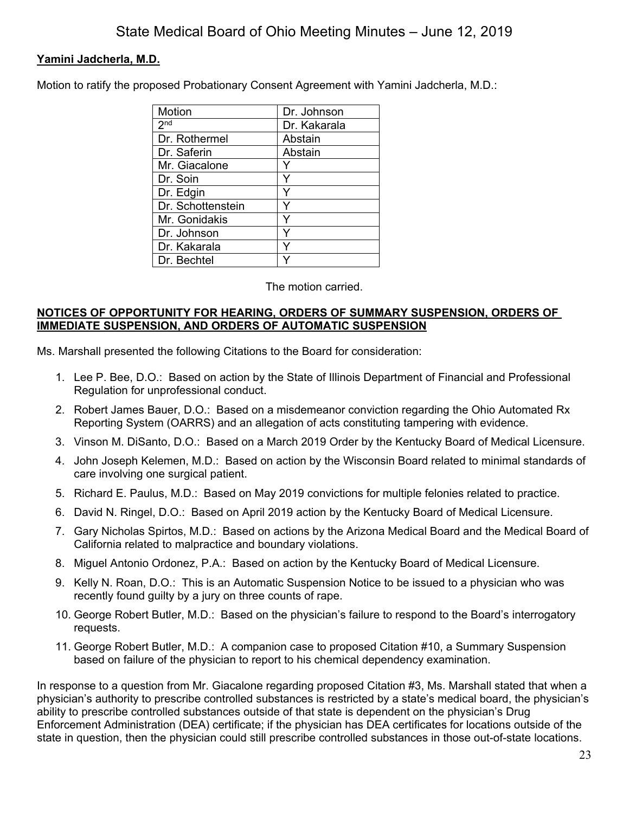## **Yamini Jadcherla, M.D.**

Motion to ratify the proposed Probationary Consent Agreement with Yamini Jadcherla, M.D.:

| Motion            | Dr. Johnson  |
|-------------------|--------------|
| 2 <sup>nd</sup>   | Dr. Kakarala |
| Dr. Rothermel     | Abstain      |
| Dr. Saferin       | Abstain      |
| Mr. Giacalone     |              |
| Dr. Soin          | Y            |
| Dr. Edgin         | ٧            |
| Dr. Schottenstein | ٧            |
| Mr. Gonidakis     | Y            |
| Dr. Johnson       | Υ            |
| Dr. Kakarala      | ٧            |
| Dr. Bechtel       |              |

### The motion carried.

## **NOTICES OF OPPORTUNITY FOR HEARING, ORDERS OF SUMMARY SUSPENSION, ORDERS OF IMMEDIATE SUSPENSION, AND ORDERS OF AUTOMATIC SUSPENSION**

Ms. Marshall presented the following Citations to the Board for consideration:

- 1. Lee P. Bee, D.O.: Based on action by the State of Illinois Department of Financial and Professional Regulation for unprofessional conduct.
- 2. Robert James Bauer, D.O.: Based on a misdemeanor conviction regarding the Ohio Automated Rx Reporting System (OARRS) and an allegation of acts constituting tampering with evidence.
- 3. Vinson M. DiSanto, D.O.: Based on a March 2019 Order by the Kentucky Board of Medical Licensure.
- 4. John Joseph Kelemen, M.D.: Based on action by the Wisconsin Board related to minimal standards of care involving one surgical patient.
- 5. Richard E. Paulus, M.D.: Based on May 2019 convictions for multiple felonies related to practice.
- 6. David N. Ringel, D.O.: Based on April 2019 action by the Kentucky Board of Medical Licensure.
- 7. Gary Nicholas Spirtos, M.D.: Based on actions by the Arizona Medical Board and the Medical Board of California related to malpractice and boundary violations.
- 8. Miguel Antonio Ordonez, P.A.: Based on action by the Kentucky Board of Medical Licensure.
- 9. Kelly N. Roan, D.O.: This is an Automatic Suspension Notice to be issued to a physician who was recently found guilty by a jury on three counts of rape.
- 10. George Robert Butler, M.D.: Based on the physician's failure to respond to the Board's interrogatory requests.
- 11. George Robert Butler, M.D.: A companion case to proposed Citation #10, a Summary Suspension based on failure of the physician to report to his chemical dependency examination.

In response to a question from Mr. Giacalone regarding proposed Citation #3, Ms. Marshall stated that when a physician's authority to prescribe controlled substances is restricted by a state's medical board, the physician's ability to prescribe controlled substances outside of that state is dependent on the physician's Drug Enforcement Administration (DEA) certificate; if the physician has DEA certificates for locations outside of the state in question, then the physician could still prescribe controlled substances in those out-of-state locations.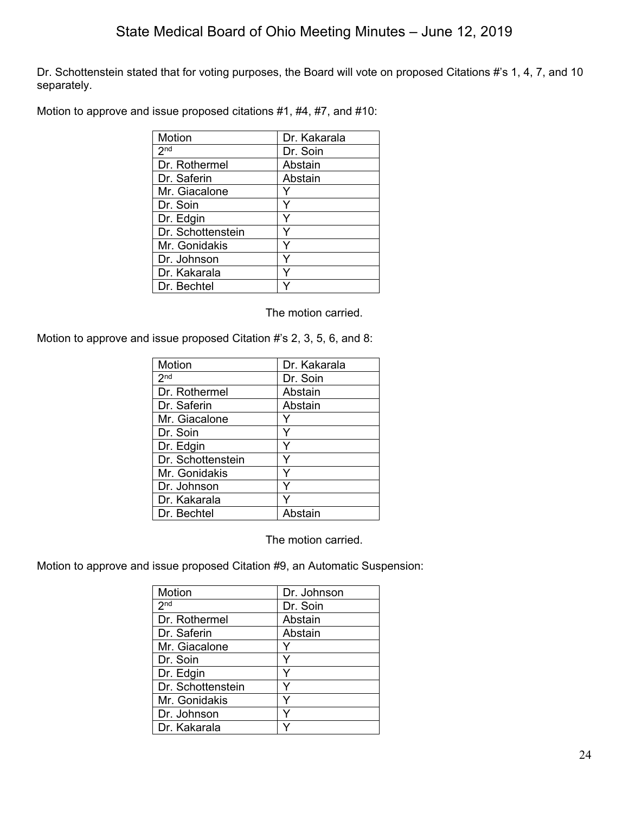Dr. Schottenstein stated that for voting purposes, the Board will vote on proposed Citations #'s 1, 4, 7, and 10 separately.

Motion to approve and issue proposed citations #1, #4, #7, and #10:

| Motion            | Dr. Kakarala |
|-------------------|--------------|
| 2 <sub>nd</sub>   | Dr. Soin     |
| Dr. Rothermel     | Abstain      |
| Dr. Saferin       | Abstain      |
| Mr. Giacalone     |              |
| Dr. Soin          |              |
| Dr. Edgin         |              |
| Dr. Schottenstein |              |
| Mr. Gonidakis     |              |
| Dr. Johnson       | Y            |
| Dr. Kakarala      |              |
| Dr. Bechtel       |              |

The motion carried.

Motion to approve and issue proposed Citation #'s 2, 3, 5, 6, and 8:

| Motion            | Dr. Kakarala |
|-------------------|--------------|
| 2 <sub>nd</sub>   | Dr. Soin     |
| Dr. Rothermel     | Abstain      |
| Dr. Saferin       | Abstain      |
| Mr. Giacalone     |              |
| Dr. Soin          | Y            |
| Dr. Edgin         | Y            |
| Dr. Schottenstein | Y            |
| Mr. Gonidakis     | Y            |
| Dr. Johnson       | Y            |
| Dr. Kakarala      | Y            |
| Dr. Bechtel       | Abstain      |

The motion carried.

Motion to approve and issue proposed Citation #9, an Automatic Suspension:

| Motion            | Dr. Johnson |
|-------------------|-------------|
| 2 <sup>nd</sup>   | Dr. Soin    |
| Dr. Rothermel     | Abstain     |
| Dr. Saferin       | Abstain     |
| Mr. Giacalone     | Y           |
| Dr. Soin          | Y           |
| Dr. Edgin         |             |
| Dr. Schottenstein | Y           |
| Mr. Gonidakis     | Y           |
| Dr. Johnson       |             |
| Dr. Kakarala      |             |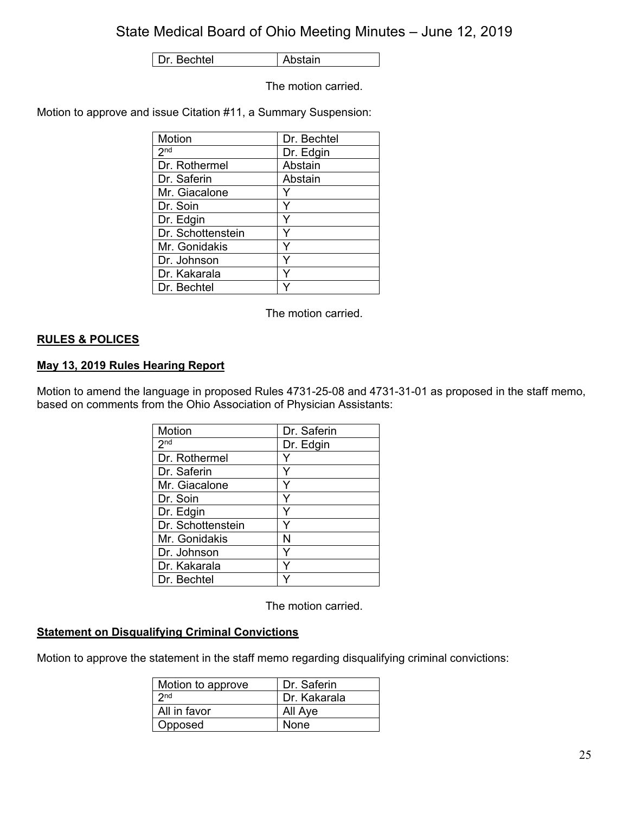Dr. Bechtel | Abstain

The motion carried.

Motion to approve and issue Citation #11, a Summary Suspension:

| Motion            | Dr. Bechtel |
|-------------------|-------------|
| 2 <sub>nd</sub>   | Dr. Edgin   |
| Dr. Rothermel     | Abstain     |
| Dr. Saferin       | Abstain     |
| Mr. Giacalone     |             |
| Dr. Soin          | Y           |
| Dr. Edgin         | Y           |
| Dr. Schottenstein | Y           |
| Mr. Gonidakis     | Y           |
| Dr. Johnson       | Y           |
| Dr. Kakarala      | ٧           |
| Dr. Bechtel       |             |

The motion carried.

## **RULES & POLICES**

## **May 13, 2019 Rules Hearing Report**

Motion to amend the language in proposed Rules 4731-25-08 and 4731-31-01 as proposed in the staff memo, based on comments from the Ohio Association of Physician Assistants:

| Motion            | Dr. Saferin |
|-------------------|-------------|
| 2 <sup>nd</sup>   | Dr. Edgin   |
| Dr. Rothermel     |             |
| Dr. Saferin       |             |
| Mr. Giacalone     | Y           |
| Dr. Soin          | Y           |
| Dr. Edgin         | Y           |
| Dr. Schottenstein | Y           |
| Mr. Gonidakis     | Ν           |
| Dr. Johnson       | Y           |
| Dr. Kakarala      | Y           |
| Dr. Bechtel       |             |

The motion carried.

### **Statement on Disqualifying Criminal Convictions**

Motion to approve the statement in the staff memo regarding disqualifying criminal convictions:

| Motion to approve | Dr. Saferin  |
|-------------------|--------------|
| 2 <sub>nd</sub>   | Dr. Kakarala |
| All in favor      | All Aye      |
| Opposed           | None         |
|                   |              |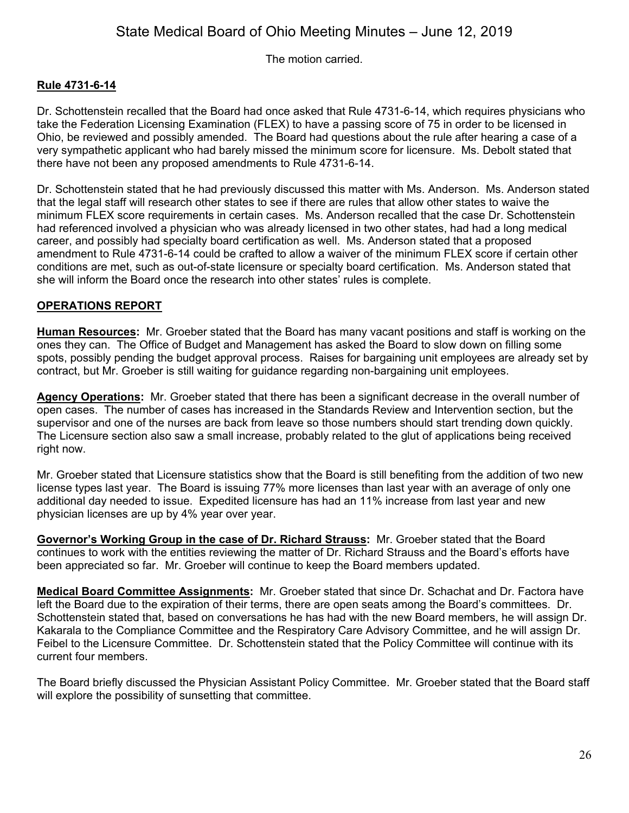The motion carried.

## **Rule 4731-6-14**

Dr. Schottenstein recalled that the Board had once asked that Rule 4731-6-14, which requires physicians who take the Federation Licensing Examination (FLEX) to have a passing score of 75 in order to be licensed in Ohio, be reviewed and possibly amended. The Board had questions about the rule after hearing a case of a very sympathetic applicant who had barely missed the minimum score for licensure. Ms. Debolt stated that there have not been any proposed amendments to Rule 4731-6-14.

Dr. Schottenstein stated that he had previously discussed this matter with Ms. Anderson. Ms. Anderson stated that the legal staff will research other states to see if there are rules that allow other states to waive the minimum FLEX score requirements in certain cases. Ms. Anderson recalled that the case Dr. Schottenstein had referenced involved a physician who was already licensed in two other states, had had a long medical career, and possibly had specialty board certification as well. Ms. Anderson stated that a proposed amendment to Rule 4731-6-14 could be crafted to allow a waiver of the minimum FLEX score if certain other conditions are met, such as out-of-state licensure or specialty board certification. Ms. Anderson stated that she will inform the Board once the research into other states' rules is complete.

## **OPERATIONS REPORT**

**Human Resources:** Mr. Groeber stated that the Board has many vacant positions and staff is working on the ones they can. The Office of Budget and Management has asked the Board to slow down on filling some spots, possibly pending the budget approval process. Raises for bargaining unit employees are already set by contract, but Mr. Groeber is still waiting for guidance regarding non-bargaining unit employees.

**Agency Operations:** Mr. Groeber stated that there has been a significant decrease in the overall number of open cases. The number of cases has increased in the Standards Review and Intervention section, but the supervisor and one of the nurses are back from leave so those numbers should start trending down quickly. The Licensure section also saw a small increase, probably related to the glut of applications being received right now.

Mr. Groeber stated that Licensure statistics show that the Board is still benefiting from the addition of two new license types last year. The Board is issuing 77% more licenses than last year with an average of only one additional day needed to issue. Expedited licensure has had an 11% increase from last year and new physician licenses are up by 4% year over year.

**Governor's Working Group in the case of Dr. Richard Strauss:** Mr. Groeber stated that the Board continues to work with the entities reviewing the matter of Dr. Richard Strauss and the Board's efforts have been appreciated so far. Mr. Groeber will continue to keep the Board members updated.

**Medical Board Committee Assignments:** Mr. Groeber stated that since Dr. Schachat and Dr. Factora have left the Board due to the expiration of their terms, there are open seats among the Board's committees. Dr. Schottenstein stated that, based on conversations he has had with the new Board members, he will assign Dr. Kakarala to the Compliance Committee and the Respiratory Care Advisory Committee, and he will assign Dr. Feibel to the Licensure Committee. Dr. Schottenstein stated that the Policy Committee will continue with its current four members.

The Board briefly discussed the Physician Assistant Policy Committee. Mr. Groeber stated that the Board staff will explore the possibility of sunsetting that committee.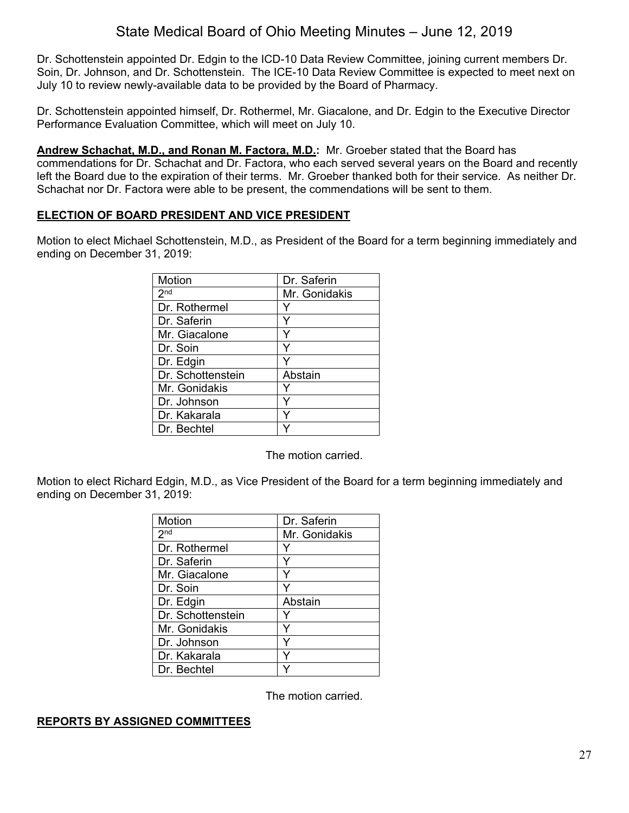Dr. Schottenstein appointed Dr. Edgin to the ICD-10 Data Review Committee, joining current members Dr. Soin, Dr. Johnson, and Dr. Schottenstein. The ICE-10 Data Review Committee is expected to meet next on July 10 to review newly-available data to be provided by the Board of Pharmacy.

Dr. Schottenstein appointed himself, Dr. Rothermel, Mr. Giacalone, and Dr. Edgin to the Executive Director Performance Evaluation Committee, which will meet on July 10.

**Andrew Schachat, M.D., and Ronan M. Factora, M.D.:** Mr. Groeber stated that the Board has commendations for Dr. Schachat and Dr. Factora, who each served several years on the Board and recently left the Board due to the expiration of their terms. Mr. Groeber thanked both for their service. As neither Dr. Schachat nor Dr. Factora were able to be present, the commendations will be sent to them.

## **ELECTION OF BOARD PRESIDENT AND VICE PRESIDENT**

Motion to elect Michael Schottenstein, M.D., as President of the Board for a term beginning immediately and ending on December 31, 2019:

| Motion            | Dr. Saferin   |
|-------------------|---------------|
| 2 <sup>nd</sup>   | Mr. Gonidakis |
| Dr. Rothermel     |               |
| Dr. Saferin       |               |
| Mr. Giacalone     |               |
| Dr. Soin          |               |
| Dr. Edgin         |               |
| Dr. Schottenstein | Abstain       |
| Mr. Gonidakis     |               |
| Dr. Johnson       |               |
| Dr. Kakarala      |               |
| Dr. Bechtel       |               |

The motion carried.

Motion to elect Richard Edgin, M.D., as Vice President of the Board for a term beginning immediately and ending on December 31, 2019:

| Motion            | Dr. Saferin   |
|-------------------|---------------|
| 2 <sub>nd</sub>   | Mr. Gonidakis |
| Dr. Rothermel     |               |
| Dr. Saferin       | Y             |
| Mr. Giacalone     |               |
| Dr. Soin          |               |
| Dr. Edgin         | Abstain       |
| Dr. Schottenstein |               |
| Mr. Gonidakis     | ٧             |
| Dr. Johnson       | ٧             |
| Dr. Kakarala      |               |
| Dr. Bechtel       |               |

The motion carried.

## **REPORTS BY ASSIGNED COMMITTEES**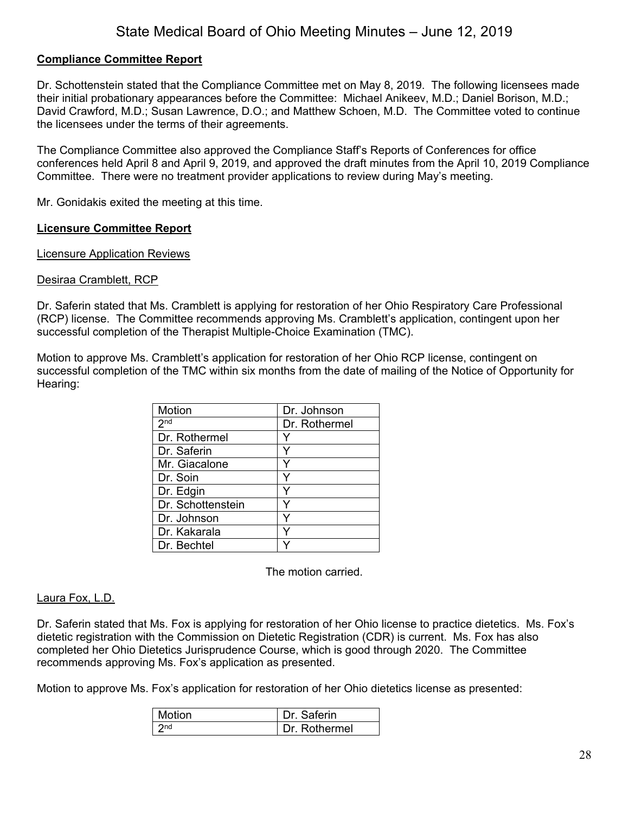## **Compliance Committee Report**

Dr. Schottenstein stated that the Compliance Committee met on May 8, 2019. The following licensees made their initial probationary appearances before the Committee: Michael Anikeev, M.D.; Daniel Borison, M.D.; David Crawford, M.D.; Susan Lawrence, D.O.; and Matthew Schoen, M.D. The Committee voted to continue the licensees under the terms of their agreements.

The Compliance Committee also approved the Compliance Staff's Reports of Conferences for office conferences held April 8 and April 9, 2019, and approved the draft minutes from the April 10, 2019 Compliance Committee. There were no treatment provider applications to review during May's meeting.

Mr. Gonidakis exited the meeting at this time.

### **Licensure Committee Report**

Licensure Application Reviews

#### Desiraa Cramblett, RCP

Dr. Saferin stated that Ms. Cramblett is applying for restoration of her Ohio Respiratory Care Professional (RCP) license. The Committee recommends approving Ms. Cramblett's application, contingent upon her successful completion of the Therapist Multiple-Choice Examination (TMC).

Motion to approve Ms. Cramblett's application for restoration of her Ohio RCP license, contingent on successful completion of the TMC within six months from the date of mailing of the Notice of Opportunity for Hearing:

| Motion            | Dr. Johnson   |
|-------------------|---------------|
| 2 <sup>nd</sup>   | Dr. Rothermel |
| Dr. Rothermel     |               |
| Dr. Saferin       |               |
| Mr. Giacalone     | Y             |
| Dr. Soin          | Y             |
| Dr. Edgin         |               |
| Dr. Schottenstein |               |
| Dr. Johnson       |               |
| Dr. Kakarala      |               |
| Dr. Bechtel       |               |

The motion carried.

#### Laura Fox, L.D.

Dr. Saferin stated that Ms. Fox is applying for restoration of her Ohio license to practice dietetics. Ms. Fox's dietetic registration with the Commission on Dietetic Registration (CDR) is current. Ms. Fox has also completed her Ohio Dietetics Jurisprudence Course, which is good through 2020. The Committee recommends approving Ms. Fox's application as presented.

Motion to approve Ms. Fox's application for restoration of her Ohio dietetics license as presented:

| Motion | Dr. Saferin  |
|--------|--------------|
| 2nd    | Dr Rothermel |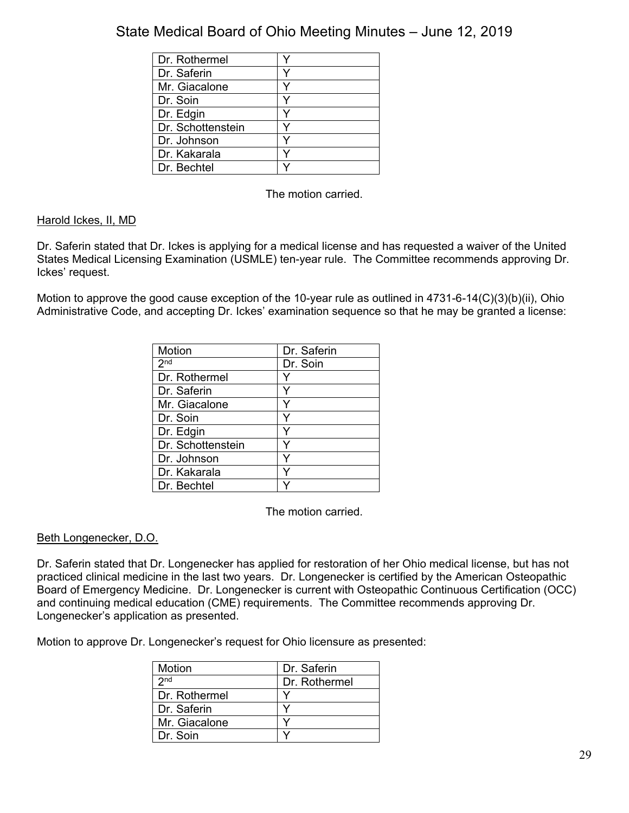| Dr. Rothermel     |  |
|-------------------|--|
| Dr. Saferin       |  |
| Mr. Giacalone     |  |
| Dr. Soin          |  |
| Dr. Edgin         |  |
| Dr. Schottenstein |  |
| Dr. Johnson       |  |
| Dr. Kakarala      |  |
| Dr. Bechtel       |  |

The motion carried.

## Harold Ickes, II, MD

Dr. Saferin stated that Dr. Ickes is applying for a medical license and has requested a waiver of the United States Medical Licensing Examination (USMLE) ten-year rule. The Committee recommends approving Dr. Ickes' request.

Motion to approve the good cause exception of the 10-year rule as outlined in 4731-6-14(C)(3)(b)(ii), Ohio Administrative Code, and accepting Dr. Ickes' examination sequence so that he may be granted a license:

| Motion            | Dr. Saferin |
|-------------------|-------------|
|                   |             |
| 2 <sub>nd</sub>   | Dr. Soin    |
| Dr. Rothermel     |             |
| Dr. Saferin       |             |
| Mr. Giacalone     | Y           |
| Dr. Soin          | ٧           |
| Dr. Edgin         |             |
| Dr. Schottenstein | Y           |
| Dr. Johnson       | ٧           |
| Dr. Kakarala      |             |
| Dr. Bechtel       |             |

The motion carried.

### Beth Longenecker, D.O.

Dr. Saferin stated that Dr. Longenecker has applied for restoration of her Ohio medical license, but has not practiced clinical medicine in the last two years. Dr. Longenecker is certified by the American Osteopathic Board of Emergency Medicine. Dr. Longenecker is current with Osteopathic Continuous Certification (OCC) and continuing medical education (CME) requirements. The Committee recommends approving Dr. Longenecker's application as presented.

Motion to approve Dr. Longenecker's request for Ohio licensure as presented:

| Motion          | Dr. Saferin   |
|-----------------|---------------|
| 2nd             | Dr. Rothermel |
| l Dr. Rothermel |               |
| l Dr. Saferin   |               |
| Mr. Giacalone   |               |
| l Dr. Soin      |               |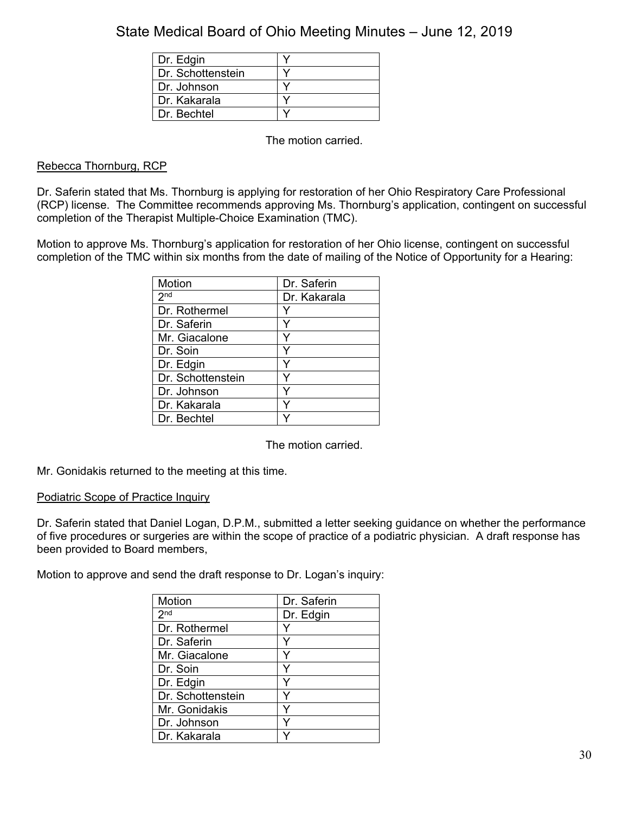| Dr. Edgin         |  |
|-------------------|--|
| Dr. Schottenstein |  |
| Dr. Johnson       |  |
| Dr. Kakarala      |  |
| Dr. Bechtel       |  |

The motion carried.

## Rebecca Thornburg, RCP

Dr. Saferin stated that Ms. Thornburg is applying for restoration of her Ohio Respiratory Care Professional (RCP) license. The Committee recommends approving Ms. Thornburg's application, contingent on successful completion of the Therapist Multiple-Choice Examination (TMC).

Motion to approve Ms. Thornburg's application for restoration of her Ohio license, contingent on successful completion of the TMC within six months from the date of mailing of the Notice of Opportunity for a Hearing:

| Motion            | Dr. Saferin  |
|-------------------|--------------|
| 2 <sub>nd</sub>   | Dr. Kakarala |
| Dr. Rothermel     |              |
| Dr. Saferin       |              |
| Mr. Giacalone     |              |
| Dr. Soin          | Y            |
| Dr. Edgin         |              |
| Dr. Schottenstein |              |
| Dr. Johnson       | Y            |
| Dr. Kakarala      |              |
| Dr. Bechtel       |              |

The motion carried.

Mr. Gonidakis returned to the meeting at this time.

### Podiatric Scope of Practice Inquiry

Dr. Saferin stated that Daniel Logan, D.P.M., submitted a letter seeking guidance on whether the performance of five procedures or surgeries are within the scope of practice of a podiatric physician. A draft response has been provided to Board members,

Motion to approve and send the draft response to Dr. Logan's inquiry:

| Motion            | Dr. Saferin |
|-------------------|-------------|
| 2 <sub>nd</sub>   | Dr. Edgin   |
| Dr. Rothermel     |             |
| Dr. Saferin       |             |
| Mr. Giacalone     | Y           |
| Dr. Soin          | Y           |
| Dr. Edgin         |             |
| Dr. Schottenstein | Y           |
| Mr. Gonidakis     |             |
| Dr. Johnson       |             |
| Dr. Kakarala      |             |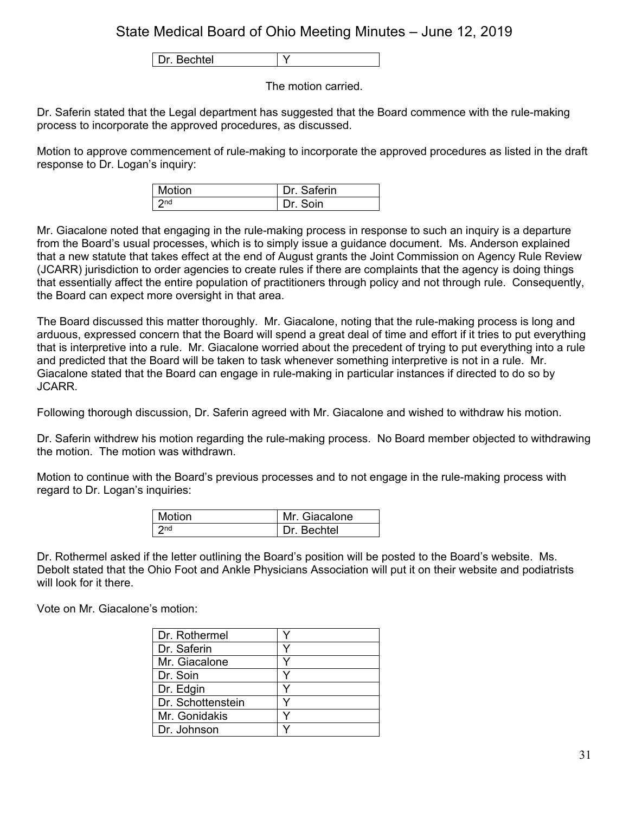Dr. Bechtel | Y

The motion carried.

Dr. Saferin stated that the Legal department has suggested that the Board commence with the rule-making process to incorporate the approved procedures, as discussed.

Motion to approve commencement of rule-making to incorporate the approved procedures as listed in the draft response to Dr. Logan's inquiry:

| l Motion | Dr. Saferin |
|----------|-------------|
| 2nd      | Dr Soin     |

Mr. Giacalone noted that engaging in the rule-making process in response to such an inquiry is a departure from the Board's usual processes, which is to simply issue a guidance document. Ms. Anderson explained that a new statute that takes effect at the end of August grants the Joint Commission on Agency Rule Review (JCARR) jurisdiction to order agencies to create rules if there are complaints that the agency is doing things that essentially affect the entire population of practitioners through policy and not through rule. Consequently, the Board can expect more oversight in that area.

The Board discussed this matter thoroughly. Mr. Giacalone, noting that the rule-making process is long and arduous, expressed concern that the Board will spend a great deal of time and effort if it tries to put everything that is interpretive into a rule. Mr. Giacalone worried about the precedent of trying to put everything into a rule and predicted that the Board will be taken to task whenever something interpretive is not in a rule. Mr. Giacalone stated that the Board can engage in rule-making in particular instances if directed to do so by JCARR.

Following thorough discussion, Dr. Saferin agreed with Mr. Giacalone and wished to withdraw his motion.

Dr. Saferin withdrew his motion regarding the rule-making process. No Board member objected to withdrawing the motion. The motion was withdrawn.

Motion to continue with the Board's previous processes and to not engage in the rule-making process with regard to Dr. Logan's inquiries:

| Motion          | Mr. Giacalone |
|-----------------|---------------|
| 2 <sub>nd</sub> | Dr. Bechtel   |

Dr. Rothermel asked if the letter outlining the Board's position will be posted to the Board's website. Ms. Debolt stated that the Ohio Foot and Ankle Physicians Association will put it on their website and podiatrists will look for it there.

Vote on Mr. Giacalone's motion:

| Dr. Rothermel     |  |
|-------------------|--|
| Dr. Saferin       |  |
| Mr. Giacalone     |  |
| Dr. Soin          |  |
| Dr. Edgin         |  |
| Dr. Schottenstein |  |
| Mr. Gonidakis     |  |
| Dr. Johnson       |  |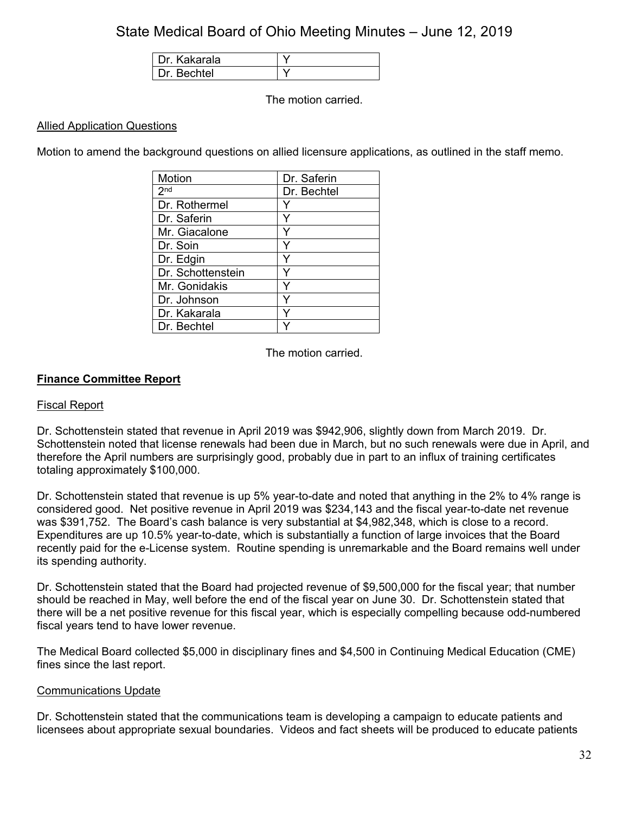| Dr. Kakarala |  |
|--------------|--|
| Dr Bechtel   |  |

The motion carried.

### Allied Application Questions

Motion to amend the background questions on allied licensure applications, as outlined in the staff memo.

| Motion            | Dr. Saferin |
|-------------------|-------------|
| 2 <sub>nd</sub>   | Dr. Bechtel |
| Dr. Rothermel     |             |
| Dr. Saferin       |             |
| Mr. Giacalone     |             |
| Dr. Soin          |             |
| Dr. Edgin         | Y           |
| Dr. Schottenstein |             |
| Mr. Gonidakis     |             |
| Dr. Johnson       | Y           |
| Dr. Kakarala      | Y           |
| Dr. Bechtel       |             |

The motion carried.

### **Finance Committee Report**

#### Fiscal Report

Dr. Schottenstein stated that revenue in April 2019 was \$942,906, slightly down from March 2019. Dr. Schottenstein noted that license renewals had been due in March, but no such renewals were due in April, and therefore the April numbers are surprisingly good, probably due in part to an influx of training certificates totaling approximately \$100,000.

Dr. Schottenstein stated that revenue is up 5% year-to-date and noted that anything in the 2% to 4% range is considered good. Net positive revenue in April 2019 was \$234,143 and the fiscal year-to-date net revenue was \$391,752. The Board's cash balance is very substantial at \$4,982,348, which is close to a record. Expenditures are up 10.5% year-to-date, which is substantially a function of large invoices that the Board recently paid for the e-License system. Routine spending is unremarkable and the Board remains well under its spending authority.

Dr. Schottenstein stated that the Board had projected revenue of \$9,500,000 for the fiscal year; that number should be reached in May, well before the end of the fiscal year on June 30. Dr. Schottenstein stated that there will be a net positive revenue for this fiscal year, which is especially compelling because odd-numbered fiscal years tend to have lower revenue.

The Medical Board collected \$5,000 in disciplinary fines and \$4,500 in Continuing Medical Education (CME) fines since the last report.

#### Communications Update

Dr. Schottenstein stated that the communications team is developing a campaign to educate patients and licensees about appropriate sexual boundaries. Videos and fact sheets will be produced to educate patients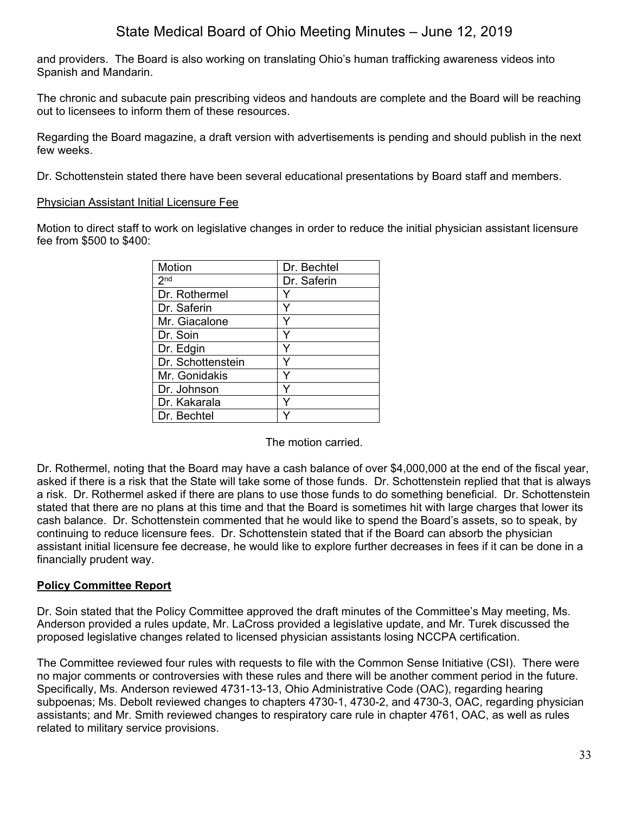and providers. The Board is also working on translating Ohio's human trafficking awareness videos into Spanish and Mandarin.

The chronic and subacute pain prescribing videos and handouts are complete and the Board will be reaching out to licensees to inform them of these resources.

Regarding the Board magazine, a draft version with advertisements is pending and should publish in the next few weeks.

Dr. Schottenstein stated there have been several educational presentations by Board staff and members.

### Physician Assistant Initial Licensure Fee

Motion to direct staff to work on legislative changes in order to reduce the initial physician assistant licensure fee from \$500 to \$400:

| Motion            | Dr. Bechtel |
|-------------------|-------------|
| 2 <sub>nd</sub>   | Dr. Saferin |
| Dr. Rothermel     |             |
| Dr. Saferin       |             |
| Mr. Giacalone     |             |
| Dr. Soin          |             |
| Dr. Edgin         |             |
| Dr. Schottenstein |             |
| Mr. Gonidakis     |             |
| Dr. Johnson       |             |
| Dr. Kakarala      |             |
| Dr. Bechtel       |             |

The motion carried.

Dr. Rothermel, noting that the Board may have a cash balance of over \$4,000,000 at the end of the fiscal year, asked if there is a risk that the State will take some of those funds. Dr. Schottenstein replied that that is always a risk. Dr. Rothermel asked if there are plans to use those funds to do something beneficial. Dr. Schottenstein stated that there are no plans at this time and that the Board is sometimes hit with large charges that lower its cash balance. Dr. Schottenstein commented that he would like to spend the Board's assets, so to speak, by continuing to reduce licensure fees. Dr. Schottenstein stated that if the Board can absorb the physician assistant initial licensure fee decrease, he would like to explore further decreases in fees if it can be done in a financially prudent way.

## **Policy Committee Report**

Dr. Soin stated that the Policy Committee approved the draft minutes of the Committee's May meeting, Ms. Anderson provided a rules update, Mr. LaCross provided a legislative update, and Mr. Turek discussed the proposed legislative changes related to licensed physician assistants losing NCCPA certification.

The Committee reviewed four rules with requests to file with the Common Sense Initiative (CSI). There were no major comments or controversies with these rules and there will be another comment period in the future. Specifically, Ms. Anderson reviewed 4731-13-13, Ohio Administrative Code (OAC), regarding hearing subpoenas; Ms. Debolt reviewed changes to chapters 4730-1, 4730-2, and 4730-3, OAC, regarding physician assistants; and Mr. Smith reviewed changes to respiratory care rule in chapter 4761, OAC, as well as rules related to military service provisions.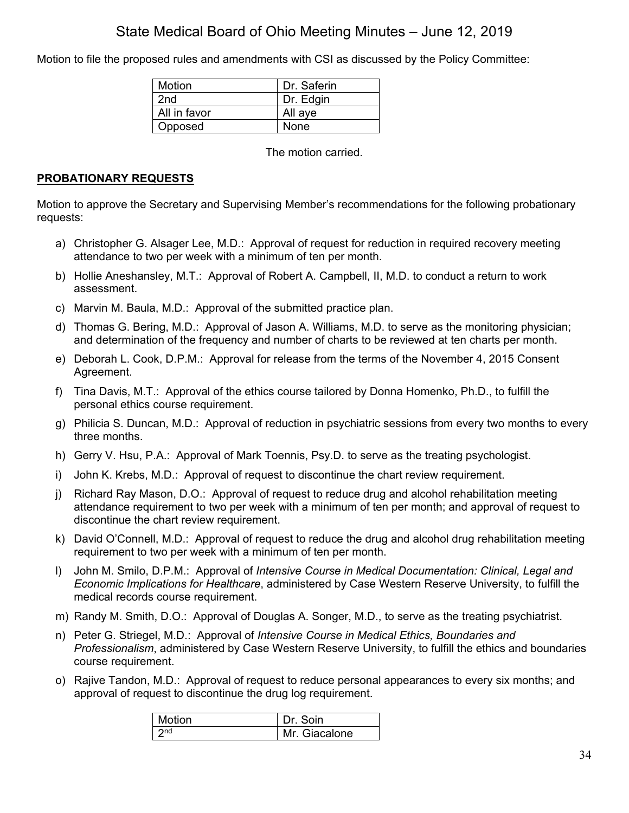Motion to file the proposed rules and amendments with CSI as discussed by the Policy Committee:

| Motion       | Dr. Saferin |
|--------------|-------------|
| 2nd          | Dr. Edgin   |
| All in favor | All aye     |
| Opposed      | None        |

The motion carried.

## **PROBATIONARY REQUESTS**

Motion to approve the Secretary and Supervising Member's recommendations for the following probationary requests:

- a) Christopher G. Alsager Lee, M.D.: Approval of request for reduction in required recovery meeting attendance to two per week with a minimum of ten per month.
- b) Hollie Aneshansley, M.T.: Approval of Robert A. Campbell, II, M.D. to conduct a return to work assessment.
- c) Marvin M. Baula, M.D.: Approval of the submitted practice plan.
- d) Thomas G. Bering, M.D.: Approval of Jason A. Williams, M.D. to serve as the monitoring physician; and determination of the frequency and number of charts to be reviewed at ten charts per month.
- e) Deborah L. Cook, D.P.M.: Approval for release from the terms of the November 4, 2015 Consent Agreement.
- f) Tina Davis, M.T.: Approval of the ethics course tailored by Donna Homenko, Ph.D., to fulfill the personal ethics course requirement.
- g) Philicia S. Duncan, M.D.: Approval of reduction in psychiatric sessions from every two months to every three months.
- h) Gerry V. Hsu, P.A.: Approval of Mark Toennis, Psy.D. to serve as the treating psychologist.
- i) John K. Krebs, M.D.: Approval of request to discontinue the chart review requirement.
- j) Richard Ray Mason, D.O.: Approval of request to reduce drug and alcohol rehabilitation meeting attendance requirement to two per week with a minimum of ten per month; and approval of request to discontinue the chart review requirement.
- k) David O'Connell, M.D.: Approval of request to reduce the drug and alcohol drug rehabilitation meeting requirement to two per week with a minimum of ten per month.
- l) John M. Smilo, D.P.M.: Approval of *Intensive Course in Medical Documentation: Clinical, Legal and Economic Implications for Healthcare*, administered by Case Western Reserve University, to fulfill the medical records course requirement.
- m) Randy M. Smith, D.O.: Approval of Douglas A. Songer, M.D., to serve as the treating psychiatrist.
- n) Peter G. Striegel, M.D.: Approval of *Intensive Course in Medical Ethics, Boundaries and Professionalism*, administered by Case Western Reserve University, to fulfill the ethics and boundaries course requirement.
- o) Rajive Tandon, M.D.: Approval of request to reduce personal appearances to every six months; and approval of request to discontinue the drug log requirement.

| Motion          | Dr. Soin      |
|-----------------|---------------|
| 2 <sub>nd</sub> | Mr. Giacalone |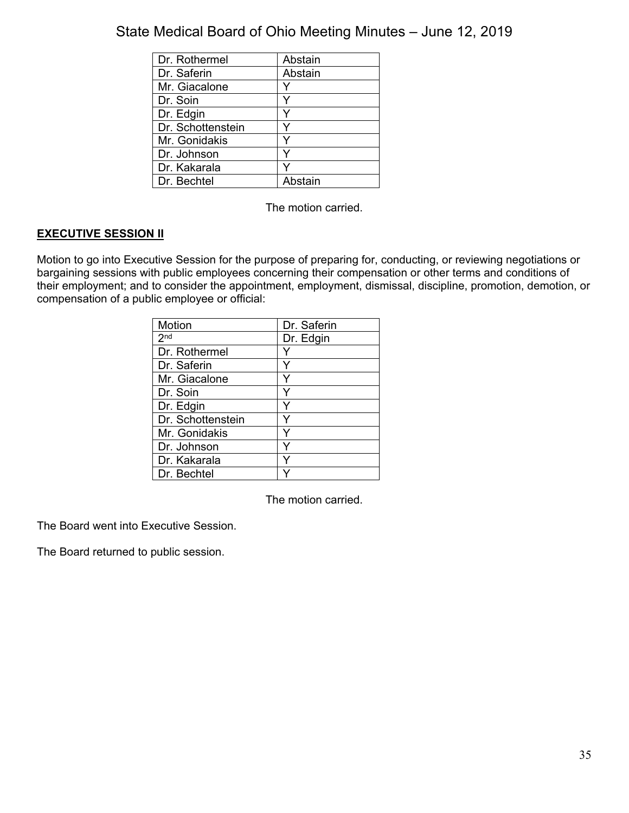| Dr. Rothermel     | Abstain |
|-------------------|---------|
| Dr. Saferin       | Abstain |
| Mr. Giacalone     |         |
| Dr. Soin          |         |
| Dr. Edgin         |         |
| Dr. Schottenstein |         |
| Mr. Gonidakis     |         |
| Dr. Johnson       |         |
| Dr. Kakarala      |         |
| Dr. Bechtel       | Abstain |

The motion carried.

## **EXECUTIVE SESSION II**

Motion to go into Executive Session for the purpose of preparing for, conducting, or reviewing negotiations or bargaining sessions with public employees concerning their compensation or other terms and conditions of their employment; and to consider the appointment, employment, dismissal, discipline, promotion, demotion, or compensation of a public employee or official:

| Motion            | Dr. Saferin |
|-------------------|-------------|
| 2 <sub>nd</sub>   | Dr. Edgin   |
| Dr. Rothermel     |             |
| Dr. Saferin       | Y           |
| Mr. Giacalone     | Y           |
| Dr. Soin          | Y           |
| Dr. Edgin         | Y           |
| Dr. Schottenstein | Y           |
| Mr. Gonidakis     | Y           |
| Dr. Johnson       | Y           |
| Dr. Kakarala      | ٧           |
| Dr. Bechtel       |             |

The motion carried.

The Board went into Executive Session.

The Board returned to public session.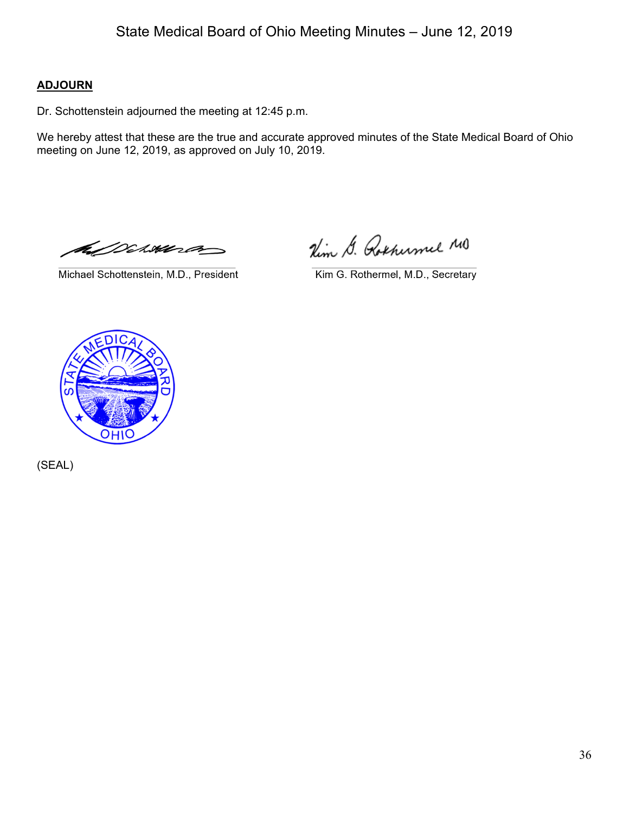## **ADJOURN**

Dr. Schottenstein adjourned the meeting at 12:45 p.m.

We hereby attest that these are the true and accurate approved minutes of the State Medical Board of Ohio meeting on June 12, 2019, as approved on July 10, 2019.

ANCIANE

Michael Schottenstein, M.D., President

Nim G. Rothumel MO

Kim G. Rothermel, M.D., Secretary



(SEAL)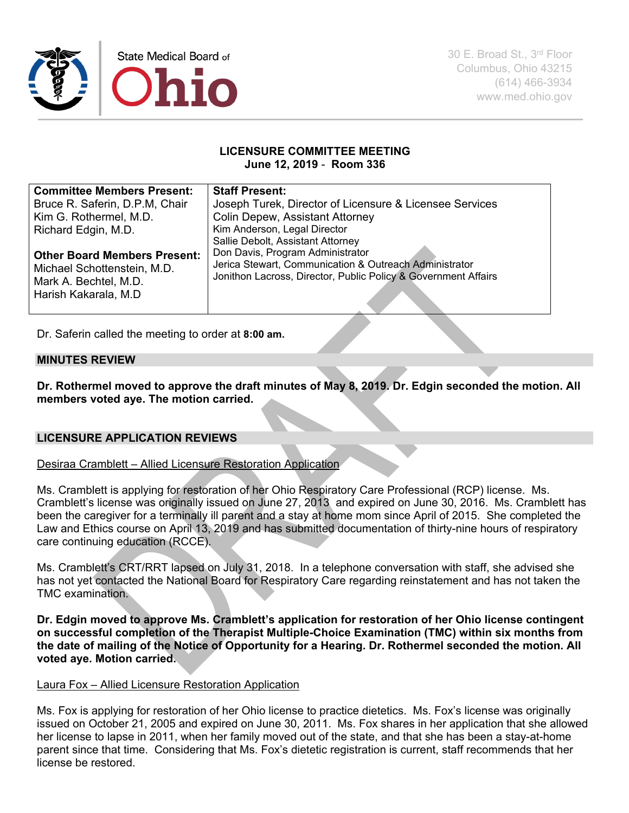

30 E. Broad St., 3rd Floor Columbus, Ohio 43215 (614) 466-3934 www.med.ohio.gov

#### **LICENSURE COMMITTEE MEETING June 12, 2019** - **Room 336**

| <b>Committee Members Present:</b>   | <b>Staff Present:</b>                                          |
|-------------------------------------|----------------------------------------------------------------|
| Bruce R. Saferin, D.P.M, Chair      | Joseph Turek, Director of Licensure & Licensee Services        |
| Kim G. Rothermel, M.D.              | <b>Colin Depew, Assistant Attorney</b>                         |
| Richard Edgin, M.D.                 | Kim Anderson, Legal Director                                   |
|                                     | Sallie Debolt, Assistant Attorney                              |
| <b>Other Board Members Present:</b> | Don Davis, Program Administrator                               |
| Michael Schottenstein, M.D.         | Jerica Stewart, Communication & Outreach Administrator         |
| Mark A. Bechtel, M.D.               | Jonithon Lacross, Director, Public Policy & Government Affairs |
| Harish Kakarala, M.D                |                                                                |
|                                     |                                                                |

Dr. Saferin called the meeting to order at **8:00 am.**

### **MINUTES REVIEW**

**Dr. Rothermel moved to approve the draft minutes of May 8, 2019. Dr. Edgin seconded the motion. All members voted aye. The motion carried.**

### **LICENSURE APPLICATION REVIEWS**

Desiraa Cramblett – Allied Licensure Restoration Application

Ms. Cramblett is applying for restoration of her Ohio Respiratory Care Professional (RCP) license. Ms. Cramblett's license was originally issued on June 27, 2013 and expired on June 30, 2016. Ms. Cramblett has been the caregiver for a terminally ill parent and a stay at home mom since April of 2015. She completed the Law and Ethics course on April 13, 2019 and has submitted documentation of thirty-nine hours of respiratory care continuing education (RCCE).

Ms. Cramblett's CRT/RRT lapsed on July 31, 2018. In a telephone conversation with staff, she advised she has not yet contacted the National Board for Respiratory Care regarding reinstatement and has not taken the TMC examination.

**Dr. Edgin moved to approve Ms. Cramblett's application for restoration of her Ohio license contingent on successful completion of the Therapist Multiple-Choice Examination (TMC) within six months from the date of mailing of the Notice of Opportunity for a Hearing. Dr. Rothermel seconded the motion. All voted aye. Motion carried.** 

#### Laura Fox – Allied Licensure Restoration Application

Ms. Fox is applying for restoration of her Ohio license to practice dietetics. Ms. Fox's license was originally issued on October 21, 2005 and expired on June 30, 2011. Ms. Fox shares in her application that she allowed her license to lapse in 2011, when her family moved out of the state, and that she has been a stay-at-home parent since that time. Considering that Ms. Fox's dietetic registration is current, staff recommends that her license be restored.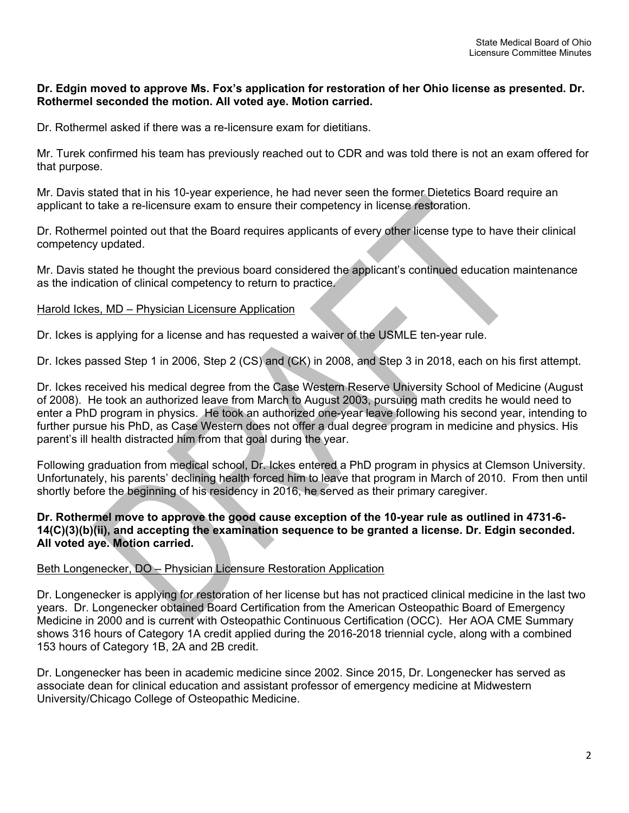### **Dr. Edgin moved to approve Ms. Fox's application for restoration of her Ohio license as presented. Dr. Rothermel seconded the motion. All voted aye. Motion carried.**

Dr. Rothermel asked if there was a re-licensure exam for dietitians.

Mr. Turek confirmed his team has previously reached out to CDR and was told there is not an exam offered for that purpose.

Mr. Davis stated that in his 10-year experience, he had never seen the former Dietetics Board require an applicant to take a re-licensure exam to ensure their competency in license restoration.

Dr. Rothermel pointed out that the Board requires applicants of every other license type to have their clinical competency updated.

Mr. Davis stated he thought the previous board considered the applicant's continued education maintenance as the indication of clinical competency to return to practice.

#### Harold Ickes, MD – Physician Licensure Application

Dr. Ickes is applying for a license and has requested a waiver of the USMLE ten-year rule.

Dr. Ickes passed Step 1 in 2006, Step 2 (CS) and (CK) in 2008, and Step 3 in 2018, each on his first attempt.

Dr. Ickes received his medical degree from the Case Western Reserve University School of Medicine (August of 2008). He took an authorized leave from March to August 2003, pursuing math credits he would need to enter a PhD program in physics. He took an authorized one-year leave following his second year, intending to further pursue his PhD, as Case Western does not offer a dual degree program in medicine and physics. His parent's ill health distracted him from that goal during the year.

Following graduation from medical school, Dr. Ickes entered a PhD program in physics at Clemson University. Unfortunately, his parents' declining health forced him to leave that program in March of 2010. From then until shortly before the beginning of his residency in 2016, he served as their primary caregiver.

### **Dr. Rothermel move to approve the good cause exception of the 10-year rule as outlined in 4731-6- 14(C)(3)(b)(ii), and accepting the examination sequence to be granted a license. Dr. Edgin seconded. All voted aye. Motion carried.**

### Beth Longenecker, DO – Physician Licensure Restoration Application

Dr. Longenecker is applying for restoration of her license but has not practiced clinical medicine in the last two years. Dr. Longenecker obtained Board Certification from the American Osteopathic Board of Emergency Medicine in 2000 and is current with Osteopathic Continuous Certification (OCC). Her AOA CME Summary shows 316 hours of Category 1A credit applied during the 2016-2018 triennial cycle, along with a combined 153 hours of Category 1B, 2A and 2B credit.

Dr. Longenecker has been in academic medicine since 2002. Since 2015, Dr. Longenecker has served as associate dean for clinical education and assistant professor of emergency medicine at Midwestern University/Chicago College of Osteopathic Medicine.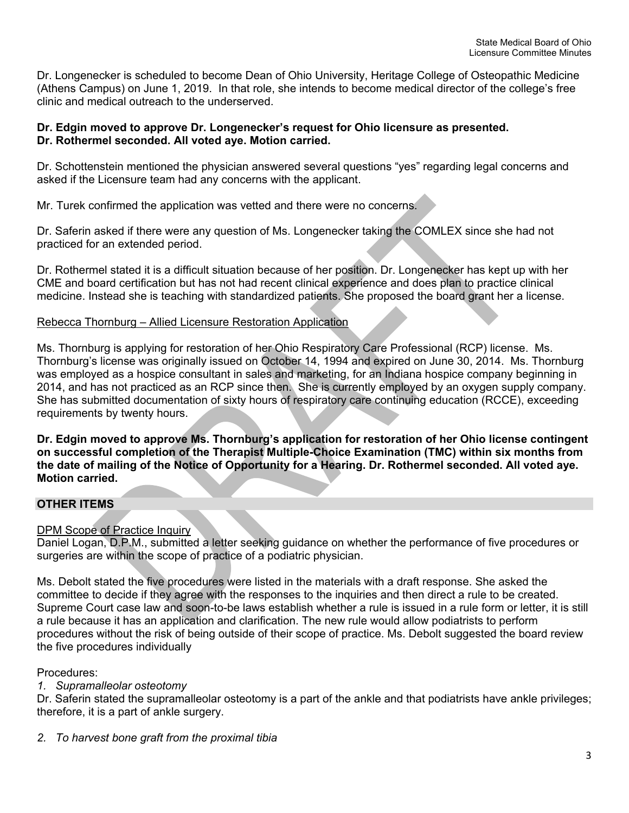Dr. Longenecker is scheduled to become Dean of Ohio University, Heritage College of Osteopathic Medicine (Athens Campus) on June 1, 2019. In that role, she intends to become medical director of the college's free clinic and medical outreach to the underserved.

### **Dr. Edgin moved to approve Dr. Longenecker's request for Ohio licensure as presented. Dr. Rothermel seconded. All voted aye. Motion carried.**

Dr. Schottenstein mentioned the physician answered several questions "yes" regarding legal concerns and asked if the Licensure team had any concerns with the applicant.

Mr. Turek confirmed the application was vetted and there were no concerns.

Dr. Saferin asked if there were any question of Ms. Longenecker taking the COMLEX since she had not practiced for an extended period.

Dr. Rothermel stated it is a difficult situation because of her position. Dr. Longenecker has kept up with her CME and board certification but has not had recent clinical experience and does plan to practice clinical medicine. Instead she is teaching with standardized patients. She proposed the board grant her a license.

### Rebecca Thornburg – Allied Licensure Restoration Application

Ms. Thornburg is applying for restoration of her Ohio Respiratory Care Professional (RCP) license. Ms. Thornburg's license was originally issued on October 14, 1994 and expired on June 30, 2014. Ms. Thornburg was employed as a hospice consultant in sales and marketing, for an Indiana hospice company beginning in 2014, and has not practiced as an RCP since then. She is currently employed by an oxygen supply company. She has submitted documentation of sixty hours of respiratory care continuing education (RCCE), exceeding requirements by twenty hours.

**Dr. Edgin moved to approve Ms. Thornburg's application for restoration of her Ohio license contingent on successful completion of the Therapist Multiple-Choice Examination (TMC) within six months from the date of mailing of the Notice of Opportunity for a Hearing. Dr. Rothermel seconded. All voted aye. Motion carried.**

### **OTHER ITEMS**

### DPM Scope of Practice Inquiry

Daniel Logan, D.P.M., submitted a letter seeking guidance on whether the performance of five procedures or surgeries are within the scope of practice of a podiatric physician.

Ms. Debolt stated the five procedures were listed in the materials with a draft response. She asked the committee to decide if they agree with the responses to the inquiries and then direct a rule to be created. Supreme Court case law and soon-to-be laws establish whether a rule is issued in a rule form or letter, it is still a rule because it has an application and clarification. The new rule would allow podiatrists to perform procedures without the risk of being outside of their scope of practice. Ms. Debolt suggested the board review the five procedures individually

### Procedures:

### *1. Supramalleolar osteotomy*

Dr. Saferin stated the supramalleolar osteotomy is a part of the ankle and that podiatrists have ankle privileges; therefore, it is a part of ankle surgery.

#### *2. To harvest bone graft from the proximal tibia*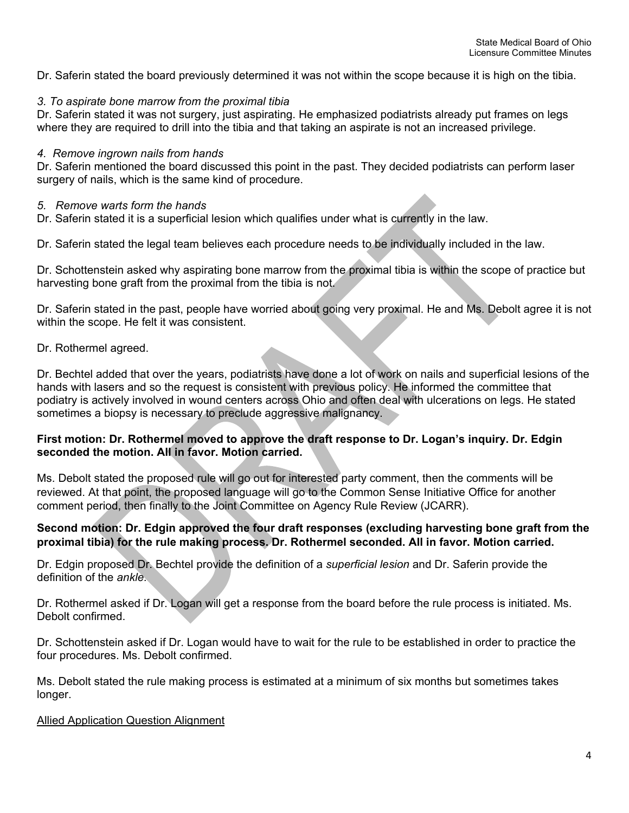Dr. Saferin stated the board previously determined it was not within the scope because it is high on the tibia.

### *3. To aspirate bone marrow from the proximal tibia*

Dr. Saferin stated it was not surgery, just aspirating. He emphasized podiatrists already put frames on legs where they are required to drill into the tibia and that taking an aspirate is not an increased privilege.

#### *4. Remove ingrown nails from hands*

Dr. Saferin mentioned the board discussed this point in the past. They decided podiatrists can perform laser surgery of nails, which is the same kind of procedure.

### *5. Remove warts form the hands*

Dr. Saferin stated it is a superficial lesion which qualifies under what is currently in the law.

Dr. Saferin stated the legal team believes each procedure needs to be individually included in the law.

Dr. Schottenstein asked why aspirating bone marrow from the proximal tibia is within the scope of practice but harvesting bone graft from the proximal from the tibia is not.

Dr. Saferin stated in the past, people have worried about going very proximal. He and Ms. Debolt agree it is not within the scope. He felt it was consistent.

### Dr. Rothermel agreed.

Dr. Bechtel added that over the years, podiatrists have done a lot of work on nails and superficial lesions of the hands with lasers and so the request is consistent with previous policy. He informed the committee that podiatry is actively involved in wound centers across Ohio and often deal with ulcerations on legs. He stated sometimes a biopsy is necessary to preclude aggressive malignancy.

### **First motion: Dr. Rothermel moved to approve the draft response to Dr. Logan's inquiry. Dr. Edgin seconded the motion. All in favor. Motion carried.**

Ms. Debolt stated the proposed rule will go out for interested party comment, then the comments will be reviewed. At that point, the proposed language will go to the Common Sense Initiative Office for another comment period, then finally to the Joint Committee on Agency Rule Review (JCARR).

### **Second motion: Dr. Edgin approved the four draft responses (excluding harvesting bone graft from the proximal tibia) for the rule making process. Dr. Rothermel seconded. All in favor. Motion carried.**

Dr. Edgin proposed Dr. Bechtel provide the definition of a *superficial lesion* and Dr. Saferin provide the definition of the *ankle.*

Dr. Rothermel asked if Dr. Logan will get a response from the board before the rule process is initiated. Ms. Debolt confirmed.

Dr. Schottenstein asked if Dr. Logan would have to wait for the rule to be established in order to practice the four procedures. Ms. Debolt confirmed.

Ms. Debolt stated the rule making process is estimated at a minimum of six months but sometimes takes longer.

#### Allied Application Question Alignment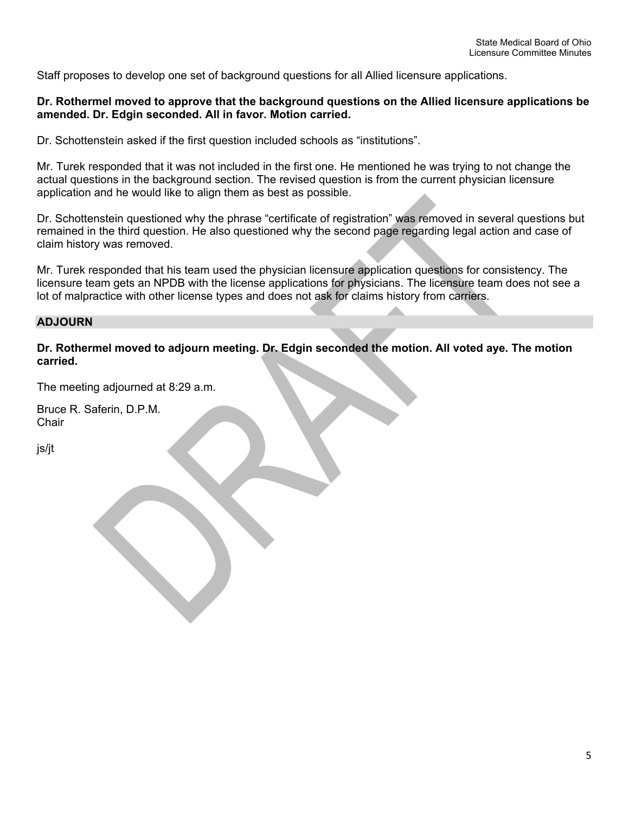Staff proposes to develop one set of background questions for all Allied licensure applications.

#### **Dr. Rothermel moved to approve that the background questions on the Allied licensure applications be amended. Dr. Edgin seconded. All in favor. Motion carried.**

Dr. Schottenstein asked if the first question included schools as "institutions".

Mr. Turek responded that it was not included in the first one. He mentioned he was trying to not change the actual questions in the background section. The revised question is from the current physician licensure application and he would like to align them as best as possible.

Dr. Schottenstein questioned why the phrase "certificate of registration" was removed in several questions but remained in the third question. He also questioned why the second page regarding legal action and case of claim history was removed.

Mr. Turek responded that his team used the physician licensure application questions for consistency. The licensure team gets an NPDB with the license applications for physicians. The licensure team does not see a lot of malpractice with other license types and does not ask for claims history from carriers.

### **ADJOURN**

**Dr. Rothermel moved to adjourn meeting. Dr. Edgin seconded the motion. All voted aye. The motion carried.**

The meeting adjourned at 8:29 a.m.

Bruce R. Saferin, D.P.M. **Chair** 

js/jt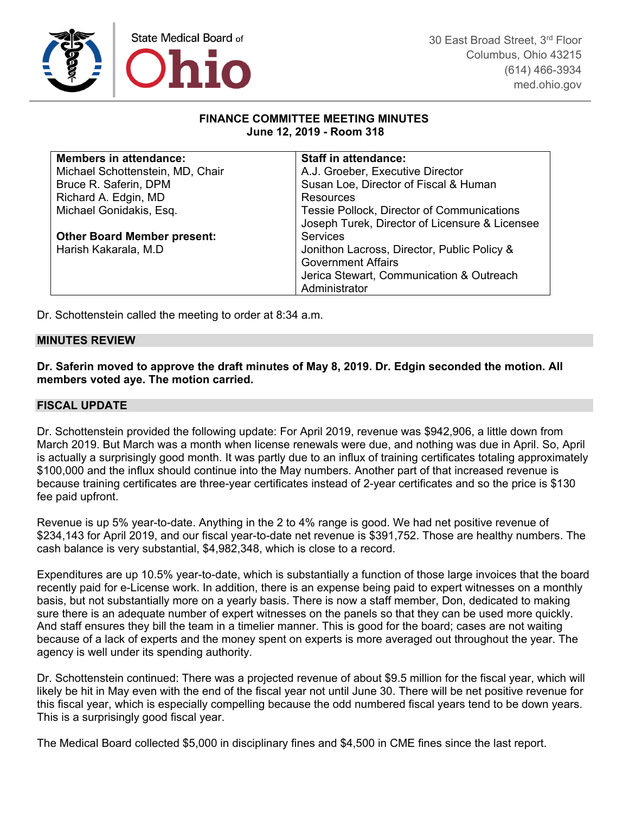

#### **FINANCE COMMITTEE MEETING MINUTES June 12, 2019 - Room 318**

| <b>Members in attendance:</b>      | <b>Staff in attendance:</b>                    |
|------------------------------------|------------------------------------------------|
| Michael Schottenstein, MD, Chair   | A.J. Groeber, Executive Director               |
| Bruce R. Saferin, DPM              | Susan Loe, Director of Fiscal & Human          |
| Richard A. Edgin, MD               | Resources                                      |
| Michael Gonidakis, Esq.            | Tessie Pollock, Director of Communications     |
|                                    | Joseph Turek, Director of Licensure & Licensee |
| <b>Other Board Member present:</b> | <b>Services</b>                                |
| Harish Kakarala, M.D.              | Jonithon Lacross, Director, Public Policy &    |
|                                    | <b>Government Affairs</b>                      |
|                                    | Jerica Stewart, Communication & Outreach       |
|                                    | Administrator                                  |

Dr. Schottenstein called the meeting to order at 8:34 a.m.

### **MINUTES REVIEW**

**Dr. Saferin moved to approve the draft minutes of May 8, 2019. Dr. Edgin seconded the motion. All members voted aye. The motion carried.**

#### **FISCAL UPDATE**

Dr. Schottenstein provided the following update: For April 2019, revenue was \$942,906, a little down from March 2019. But March was a month when license renewals were due, and nothing was due in April. So, April is actually a surprisingly good month. It was partly due to an influx of training certificates totaling approximately \$100,000 and the influx should continue into the May numbers. Another part of that increased revenue is because training certificates are three-year certificates instead of 2-year certificates and so the price is \$130 fee paid upfront.

Revenue is up 5% year-to-date. Anything in the 2 to 4% range is good. We had net positive revenue of \$234,143 for April 2019, and our fiscal year-to-date net revenue is \$391,752. Those are healthy numbers. The cash balance is very substantial, \$4,982,348, which is close to a record.

Expenditures are up 10.5% year-to-date, which is substantially a function of those large invoices that the board recently paid for e-License work. In addition, there is an expense being paid to expert witnesses on a monthly basis, but not substantially more on a yearly basis. There is now a staff member, Don, dedicated to making sure there is an adequate number of expert witnesses on the panels so that they can be used more quickly. And staff ensures they bill the team in a timelier manner. This is good for the board; cases are not waiting because of a lack of experts and the money spent on experts is more averaged out throughout the year. The agency is well under its spending authority.

Dr. Schottenstein continued: There was a projected revenue of about \$9.5 million for the fiscal year, which will likely be hit in May even with the end of the fiscal year not until June 30. There will be net positive revenue for this fiscal year, which is especially compelling because the odd numbered fiscal years tend to be down years. This is a surprisingly good fiscal year.

The Medical Board collected \$5,000 in disciplinary fines and \$4,500 in CME fines since the last report.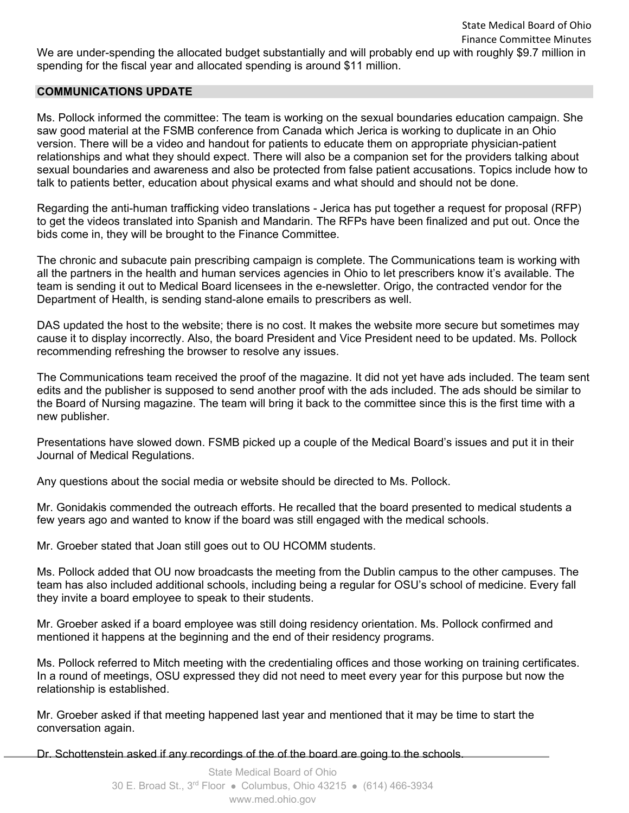We are under-spending the allocated budget substantially and will probably end up with roughly \$9.7 million in spending for the fiscal year and allocated spending is around \$11 million.

### **COMMUNICATIONS UPDATE**

Ms. Pollock informed the committee: The team is working on the sexual boundaries education campaign. She saw good material at the FSMB conference from Canada which Jerica is working to duplicate in an Ohio version. There will be a video and handout for patients to educate them on appropriate physician-patient relationships and what they should expect. There will also be a companion set for the providers talking about sexual boundaries and awareness and also be protected from false patient accusations. Topics include how to talk to patients better, education about physical exams and what should and should not be done.

Regarding the anti-human trafficking video translations - Jerica has put together a request for proposal (RFP) to get the videos translated into Spanish and Mandarin. The RFPs have been finalized and put out. Once the bids come in, they will be brought to the Finance Committee.

The chronic and subacute pain prescribing campaign is complete. The Communications team is working with all the partners in the health and human services agencies in Ohio to let prescribers know it's available. The team is sending it out to Medical Board licensees in the e-newsletter. Origo, the contracted vendor for the Department of Health, is sending stand-alone emails to prescribers as well.

DAS updated the host to the website; there is no cost. It makes the website more secure but sometimes may cause it to display incorrectly. Also, the board President and Vice President need to be updated. Ms. Pollock recommending refreshing the browser to resolve any issues.

The Communications team received the proof of the magazine. It did not yet have ads included. The team sent edits and the publisher is supposed to send another proof with the ads included. The ads should be similar to the Board of Nursing magazine. The team will bring it back to the committee since this is the first time with a new publisher.

Presentations have slowed down. FSMB picked up a couple of the Medical Board's issues and put it in their Journal of Medical Regulations.

Any questions about the social media or website should be directed to Ms. Pollock.

Mr. Gonidakis commended the outreach efforts. He recalled that the board presented to medical students a few years ago and wanted to know if the board was still engaged with the medical schools.

Mr. Groeber stated that Joan still goes out to OU HCOMM students.

Ms. Pollock added that OU now broadcasts the meeting from the Dublin campus to the other campuses. The team has also included additional schools, including being a regular for OSU's school of medicine. Every fall they invite a board employee to speak to their students.

Mr. Groeber asked if a board employee was still doing residency orientation. Ms. Pollock confirmed and mentioned it happens at the beginning and the end of their residency programs.

Ms. Pollock referred to Mitch meeting with the credentialing offices and those working on training certificates. In a round of meetings, OSU expressed they did not need to meet every year for this purpose but now the relationship is established.

Mr. Groeber asked if that meeting happened last year and mentioned that it may be time to start the conversation again.

Dr. Schottenstein asked if any recordings of the of the board are going to the schools.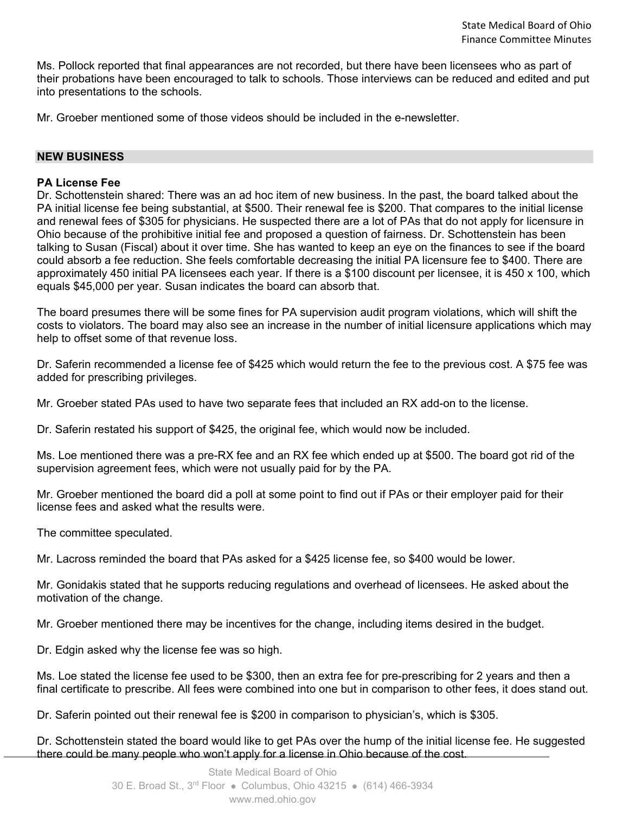Ms. Pollock reported that final appearances are not recorded, but there have been licensees who as part of their probations have been encouraged to talk to schools. Those interviews can be reduced and edited and put into presentations to the schools.

Mr. Groeber mentioned some of those videos should be included in the e-newsletter.

### **NEW BUSINESS**

#### **PA License Fee**

Dr. Schottenstein shared: There was an ad hoc item of new business. In the past, the board talked about the PA initial license fee being substantial, at \$500. Their renewal fee is \$200. That compares to the initial license and renewal fees of \$305 for physicians. He suspected there are a lot of PAs that do not apply for licensure in Ohio because of the prohibitive initial fee and proposed a question of fairness. Dr. Schottenstein has been talking to Susan (Fiscal) about it over time. She has wanted to keep an eye on the finances to see if the board could absorb a fee reduction. She feels comfortable decreasing the initial PA licensure fee to \$400. There are approximately 450 initial PA licensees each year. If there is a \$100 discount per licensee, it is 450 x 100, which equals \$45,000 per year. Susan indicates the board can absorb that.

The board presumes there will be some fines for PA supervision audit program violations, which will shift the costs to violators. The board may also see an increase in the number of initial licensure applications which may help to offset some of that revenue loss.

Dr. Saferin recommended a license fee of \$425 which would return the fee to the previous cost. A \$75 fee was added for prescribing privileges.

Mr. Groeber stated PAs used to have two separate fees that included an RX add-on to the license.

Dr. Saferin restated his support of \$425, the original fee, which would now be included.

Ms. Loe mentioned there was a pre-RX fee and an RX fee which ended up at \$500. The board got rid of the supervision agreement fees, which were not usually paid for by the PA.

Mr. Groeber mentioned the board did a poll at some point to find out if PAs or their employer paid for their license fees and asked what the results were.

The committee speculated.

Mr. Lacross reminded the board that PAs asked for a \$425 license fee, so \$400 would be lower.

Mr. Gonidakis stated that he supports reducing regulations and overhead of licensees. He asked about the motivation of the change.

Mr. Groeber mentioned there may be incentives for the change, including items desired in the budget.

Dr. Edgin asked why the license fee was so high.

Ms. Loe stated the license fee used to be \$300, then an extra fee for pre-prescribing for 2 years and then a final certificate to prescribe. All fees were combined into one but in comparison to other fees, it does stand out.

Dr. Saferin pointed out their renewal fee is \$200 in comparison to physician's, which is \$305.

Dr. Schottenstein stated the board would like to get PAs over the hump of the initial license fee. He suggested there could be many people who won't apply for a license in Ohio because of the cost.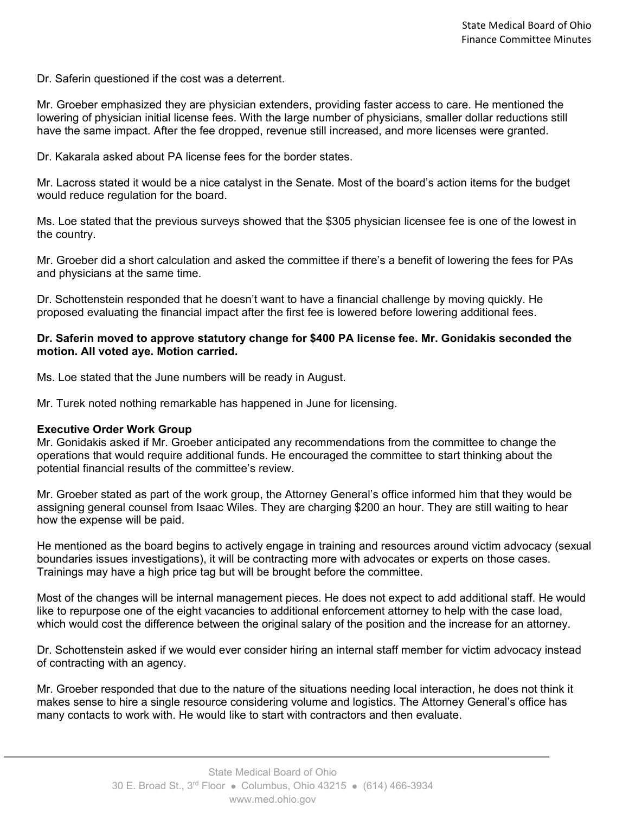Dr. Saferin questioned if the cost was a deterrent.

Mr. Groeber emphasized they are physician extenders, providing faster access to care. He mentioned the lowering of physician initial license fees. With the large number of physicians, smaller dollar reductions still have the same impact. After the fee dropped, revenue still increased, and more licenses were granted.

Dr. Kakarala asked about PA license fees for the border states.

Mr. Lacross stated it would be a nice catalyst in the Senate. Most of the board's action items for the budget would reduce regulation for the board.

Ms. Loe stated that the previous surveys showed that the \$305 physician licensee fee is one of the lowest in the country.

Mr. Groeber did a short calculation and asked the committee if there's a benefit of lowering the fees for PAs and physicians at the same time.

Dr. Schottenstein responded that he doesn't want to have a financial challenge by moving quickly. He proposed evaluating the financial impact after the first fee is lowered before lowering additional fees.

#### **Dr. Saferin moved to approve statutory change for \$400 PA license fee. Mr. Gonidakis seconded the motion. All voted aye. Motion carried.**

Ms. Loe stated that the June numbers will be ready in August.

Mr. Turek noted nothing remarkable has happened in June for licensing.

#### **Executive Order Work Group**

Mr. Gonidakis asked if Mr. Groeber anticipated any recommendations from the committee to change the operations that would require additional funds. He encouraged the committee to start thinking about the potential financial results of the committee's review.

Mr. Groeber stated as part of the work group, the Attorney General's office informed him that they would be assigning general counsel from Isaac Wiles. They are charging \$200 an hour. They are still waiting to hear how the expense will be paid.

He mentioned as the board begins to actively engage in training and resources around victim advocacy (sexual boundaries issues investigations), it will be contracting more with advocates or experts on those cases. Trainings may have a high price tag but will be brought before the committee.

Most of the changes will be internal management pieces. He does not expect to add additional staff. He would like to repurpose one of the eight vacancies to additional enforcement attorney to help with the case load, which would cost the difference between the original salary of the position and the increase for an attorney.

Dr. Schottenstein asked if we would ever consider hiring an internal staff member for victim advocacy instead of contracting with an agency.

Mr. Groeber responded that due to the nature of the situations needing local interaction, he does not think it makes sense to hire a single resource considering volume and logistics. The Attorney General's office has many contacts to work with. He would like to start with contractors and then evaluate.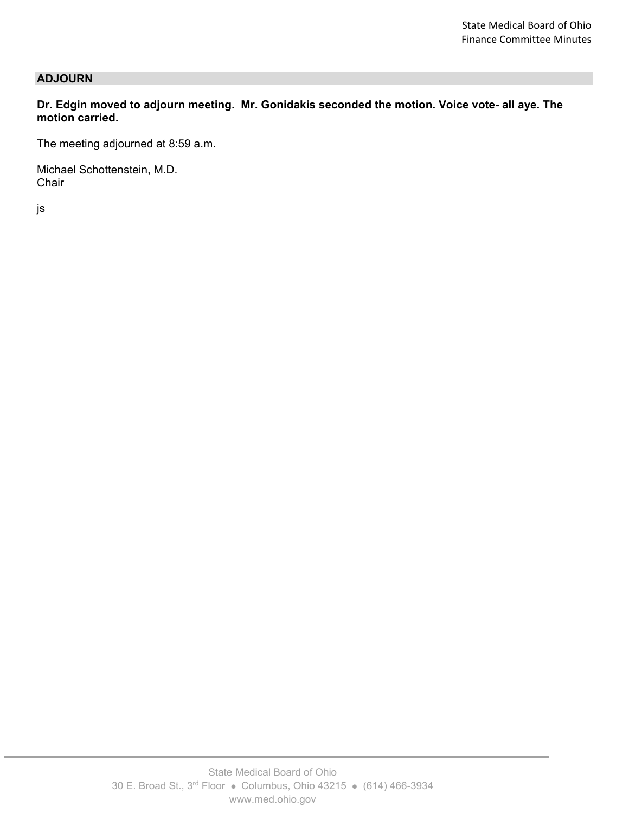### **ADJOURN**

**Dr. Edgin moved to adjourn meeting. Mr. Gonidakis seconded the motion. Voice vote- all aye. The motion carried.**

The meeting adjourned at 8:59 a.m.

Michael Schottenstein, M.D. **Chair** 

js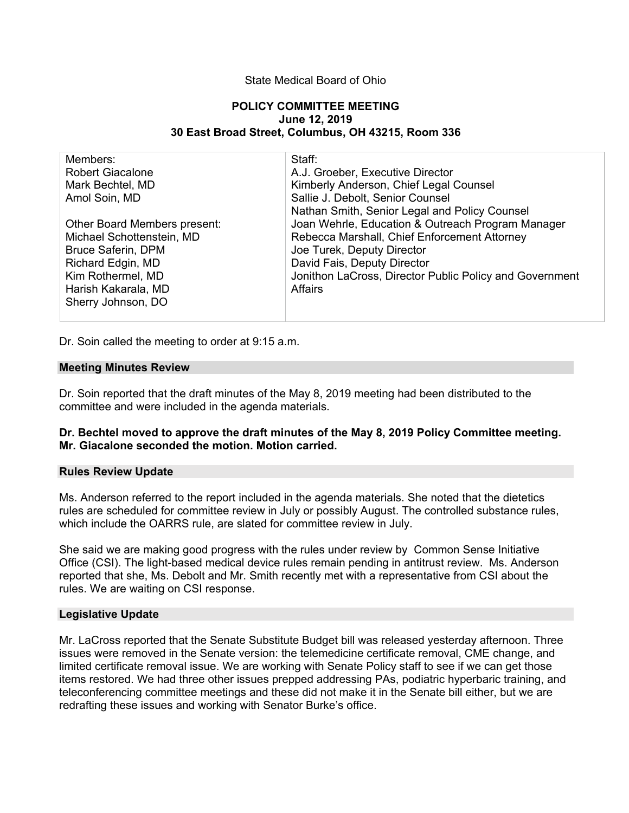#### State Medical Board of Ohio

#### **POLICY COMMITTEE MEETING June 12, 2019 30 East Broad Street, Columbus, OH 43215, Room 336**

| Members:<br><b>Robert Giacalone</b><br>Mark Bechtel, MD<br>Amol Soin, MD<br>Other Board Members present:<br>Michael Schottenstein, MD<br><b>Bruce Saferin, DPM</b><br>Richard Edgin, MD<br>Kim Rothermel, MD | Staff:<br>A.J. Groeber, Executive Director<br>Kimberly Anderson, Chief Legal Counsel<br>Sallie J. Debolt, Senior Counsel<br>Nathan Smith, Senior Legal and Policy Counsel<br>Joan Wehrle, Education & Outreach Program Manager<br>Rebecca Marshall, Chief Enforcement Attorney<br>Joe Turek, Deputy Director<br>David Fais, Deputy Director<br>Jonithon LaCross, Director Public Policy and Government |
|--------------------------------------------------------------------------------------------------------------------------------------------------------------------------------------------------------------|--------------------------------------------------------------------------------------------------------------------------------------------------------------------------------------------------------------------------------------------------------------------------------------------------------------------------------------------------------------------------------------------------------|
|                                                                                                                                                                                                              |                                                                                                                                                                                                                                                                                                                                                                                                        |
| Harish Kakarala, MD<br>Sherry Johnson, DO                                                                                                                                                                    | Affairs                                                                                                                                                                                                                                                                                                                                                                                                |

Dr. Soin called the meeting to order at 9:15 a.m.

#### **Meeting Minutes Review**

Dr. Soin reported that the draft minutes of the May 8, 2019 meeting had been distributed to the committee and were included in the agenda materials.

#### **Dr. Bechtel moved to approve the draft minutes of the May 8, 2019 Policy Committee meeting. Mr. Giacalone seconded the motion. Motion carried.**

#### **Rules Review Update**

Ms. Anderson referred to the report included in the agenda materials. She noted that the dietetics rules are scheduled for committee review in July or possibly August. The controlled substance rules, which include the OARRS rule, are slated for committee review in July.

She said we are making good progress with the rules under review by Common Sense Initiative Office (CSI). The light-based medical device rules remain pending in antitrust review. Ms. Anderson reported that she, Ms. Debolt and Mr. Smith recently met with a representative from CSI about the rules. We are waiting on CSI response.

#### **Legislative Update**

Mr. LaCross reported that the Senate Substitute Budget bill was released yesterday afternoon. Three issues were removed in the Senate version: the telemedicine certificate removal, CME change, and limited certificate removal issue. We are working with Senate Policy staff to see if we can get those items restored. We had three other issues prepped addressing PAs, podiatric hyperbaric training, and teleconferencing committee meetings and these did not make it in the Senate bill either, but we are redrafting these issues and working with Senator Burke's office.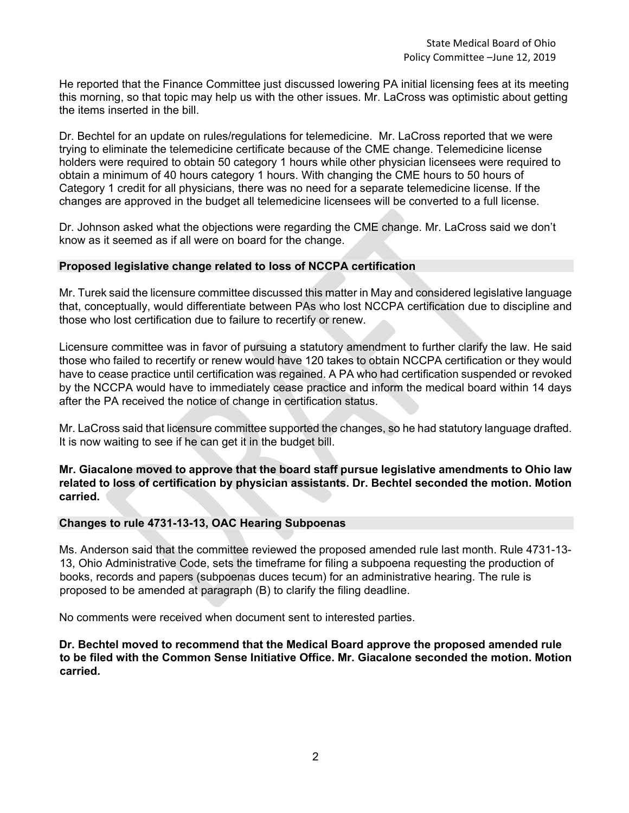He reported that the Finance Committee just discussed lowering PA initial licensing fees at its meeting this morning, so that topic may help us with the other issues. Mr. LaCross was optimistic about getting the items inserted in the bill.

Dr. Bechtel for an update on rules/regulations for telemedicine. Mr. LaCross reported that we were trying to eliminate the telemedicine certificate because of the CME change. Telemedicine license holders were required to obtain 50 category 1 hours while other physician licensees were required to obtain a minimum of 40 hours category 1 hours. With changing the CME hours to 50 hours of Category 1 credit for all physicians, there was no need for a separate telemedicine license. If the changes are approved in the budget all telemedicine licensees will be converted to a full license.

Dr. Johnson asked what the objections were regarding the CME change. Mr. LaCross said we don't know as it seemed as if all were on board for the change.

#### **Proposed legislative change related to loss of NCCPA certification**

Mr. Turek said the licensure committee discussed this matter in May and considered legislative language that, conceptually, would differentiate between PAs who lost NCCPA certification due to discipline and those who lost certification due to failure to recertify or renew.

Licensure committee was in favor of pursuing a statutory amendment to further clarify the law. He said those who failed to recertify or renew would have 120 takes to obtain NCCPA certification or they would have to cease practice until certification was regained. A PA who had certification suspended or revoked by the NCCPA would have to immediately cease practice and inform the medical board within 14 days after the PA received the notice of change in certification status.

Mr. LaCross said that licensure committee supported the changes, so he had statutory language drafted. It is now waiting to see if he can get it in the budget bill.

### **Mr. Giacalone moved to approve that the board staff pursue legislative amendments to Ohio law related to loss of certification by physician assistants. Dr. Bechtel seconded the motion. Motion carried.**

### **Changes to rule 4731-13-13, OAC Hearing Subpoenas**

Ms. Anderson said that the committee reviewed the proposed amended rule last month. Rule 4731-13- 13, Ohio Administrative Code, sets the timeframe for filing a subpoena requesting the production of books, records and papers (subpoenas duces tecum) for an administrative hearing. The rule is proposed to be amended at paragraph (B) to clarify the filing deadline.

No comments were received when document sent to interested parties.

**Dr. Bechtel moved to recommend that the Medical Board approve the proposed amended rule to be filed with the Common Sense Initiative Office. Mr. Giacalone seconded the motion. Motion carried.**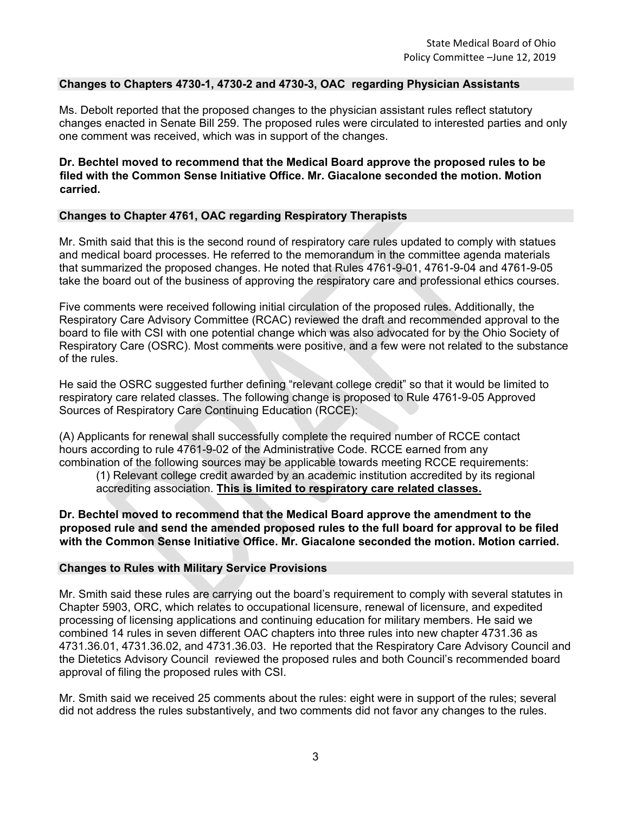### **Changes to Chapters 4730-1, 4730-2 and 4730-3, OAC regarding Physician Assistants**

Ms. Debolt reported that the proposed changes to the physician assistant rules reflect statutory changes enacted in Senate Bill 259. The proposed rules were circulated to interested parties and only one comment was received, which was in support of the changes.

### **Dr. Bechtel moved to recommend that the Medical Board approve the proposed rules to be filed with the Common Sense Initiative Office. Mr. Giacalone seconded the motion. Motion carried.**

### **Changes to Chapter 4761, OAC regarding Respiratory Therapists**

Mr. Smith said that this is the second round of respiratory care rules updated to comply with statues and medical board processes. He referred to the memorandum in the committee agenda materials that summarized the proposed changes. He noted that Rules 4761-9-01, 4761-9-04 and 4761-9-05 take the board out of the business of approving the respiratory care and professional ethics courses.

Five comments were received following initial circulation of the proposed rules. Additionally, the Respiratory Care Advisory Committee (RCAC) reviewed the draft and recommended approval to the board to file with CSI with one potential change which was also advocated for by the Ohio Society of Respiratory Care (OSRC). Most comments were positive, and a few were not related to the substance of the rules.

He said the OSRC suggested further defining "relevant college credit" so that it would be limited to respiratory care related classes. The following change is proposed to Rule 4761-9-05 Approved Sources of Respiratory Care Continuing Education (RCCE):

(A) Applicants for renewal shall successfully complete the required number of RCCE contact hours according to rule 4761-9-02 of the Administrative Code. RCCE earned from any combination of the following sources may be applicable towards meeting RCCE requirements:

(1) Relevant college credit awarded by an academic institution accredited by its regional accrediting association. **This is limited to respiratory care related classes.**

### **Dr. Bechtel moved to recommend that the Medical Board approve the amendment to the proposed rule and send the amended proposed rules to the full board for approval to be filed with the Common Sense Initiative Office. Mr. Giacalone seconded the motion. Motion carried.**

#### **Changes to Rules with Military Service Provisions**

Mr. Smith said these rules are carrying out the board's requirement to comply with several statutes in Chapter 5903, ORC, which relates to occupational licensure, renewal of licensure, and expedited processing of licensing applications and continuing education for military members. He said we combined 14 rules in seven different OAC chapters into three rules into new chapter 4731.36 as 4731.36.01, 4731.36.02, and 4731.36.03. He reported that the Respiratory Care Advisory Council and the Dietetics Advisory Council reviewed the proposed rules and both Council's recommended board approval of filing the proposed rules with CSI.

Mr. Smith said we received 25 comments about the rules: eight were in support of the rules; several did not address the rules substantively, and two comments did not favor any changes to the rules.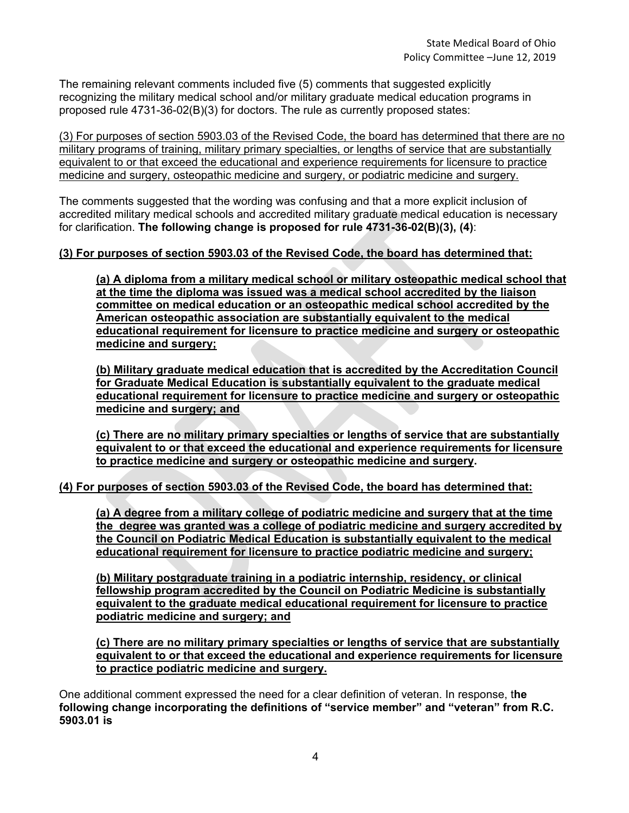The remaining relevant comments included five (5) comments that suggested explicitly recognizing the military medical school and/or military graduate medical education programs in proposed rule 4731-36-02(B)(3) for doctors. The rule as currently proposed states:

(3) For purposes of section 5903.03 of the Revised Code, the board has determined that there are no military programs of training, military primary specialties, or lengths of service that are substantially equivalent to or that exceed the educational and experience requirements for licensure to practice medicine and surgery, osteopathic medicine and surgery, or podiatric medicine and surgery.

The comments suggested that the wording was confusing and that a more explicit inclusion of accredited military medical schools and accredited military graduate medical education is necessary for clarification. **The following change is proposed for rule 4731-36-02(B)(3), (4)**:

### **(3) For purposes of section 5903.03 of the Revised Code, the board has determined that:**

**(a) A diploma from a military medical school or military osteopathic medical school that at the time the diploma was issued was a medical school accredited by the liaison committee on medical education or an osteopathic medical school accredited by the American osteopathic association are substantially equivalent to the medical educational requirement for licensure to practice medicine and surgery or osteopathic medicine and surgery;**

**(b) Military graduate medical education that is accredited by the Accreditation Council for Graduate Medical Education is substantially equivalent to the graduate medical educational requirement for licensure to practice medicine and surgery or osteopathic medicine and surgery; and**

**(c) There are no military primary specialties or lengths of service that are substantially equivalent to or that exceed the educational and experience requirements for licensure to practice medicine and surgery or osteopathic medicine and surgery.**

**(4) For purposes of section 5903.03 of the Revised Code, the board has determined that:**

**(a) A degree from a military college of podiatric medicine and surgery that at the time the degree was granted was a college of podiatric medicine and surgery accredited by the Council on Podiatric Medical Education is substantially equivalent to the medical educational requirement for licensure to practice podiatric medicine and surgery;**

**(b) Military postgraduate training in a podiatric internship, residency, or clinical fellowship program accredited by the Council on Podiatric Medicine is substantially equivalent to the graduate medical educational requirement for licensure to practice podiatric medicine and surgery; and**

**(c) There are no military primary specialties or lengths of service that are substantially equivalent to or that exceed the educational and experience requirements for licensure to practice podiatric medicine and surgery.**

One additional comment expressed the need for a clear definition of veteran. In response, t**he following change incorporating the definitions of "service member" and "veteran" from R.C. 5903.01 is**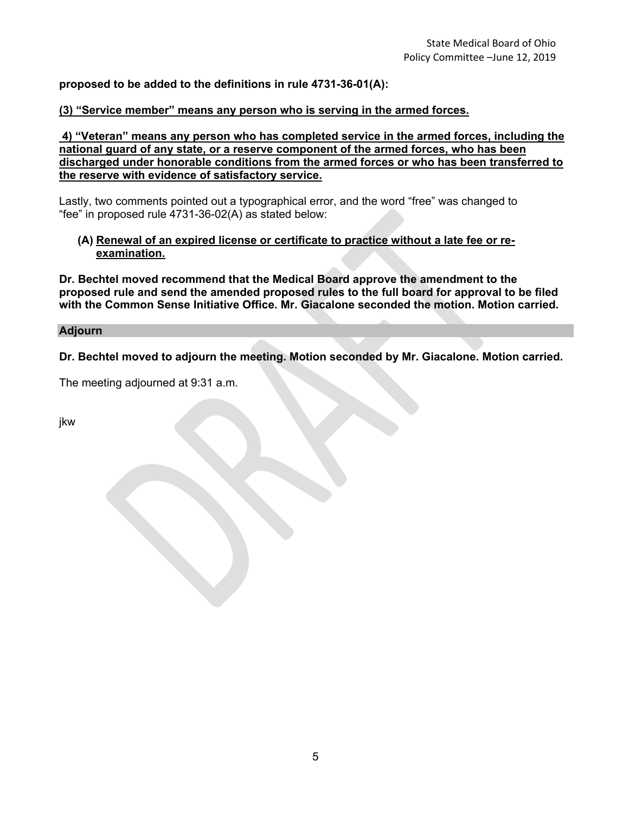### **proposed to be added to the definitions in rule 4731-36-01(A):**

### **(3) "Service member" means any person who is serving in the armed forces.**

**4) "Veteran" means any person who has completed service in the armed forces, including the national guard of any state, or a reserve component of the armed forces, who has been discharged under honorable conditions from the armed forces or who has been transferred to the reserve with evidence of satisfactory service.**

Lastly, two comments pointed out a typographical error, and the word "free" was changed to "fee" in proposed rule 4731-36-02(A) as stated below:

#### **(A) Renewal of an expired license or certificate to practice without a late fee or reexamination.**

**Dr. Bechtel moved recommend that the Medical Board approve the amendment to the proposed rule and send the amended proposed rules to the full board for approval to be filed with the Common Sense Initiative Office. Mr. Giacalone seconded the motion. Motion carried.** 

#### **Adjourn**

**Dr. Bechtel moved to adjourn the meeting. Motion seconded by Mr. Giacalone. Motion carried.** 

The meeting adjourned at 9:31 a.m.

jkw